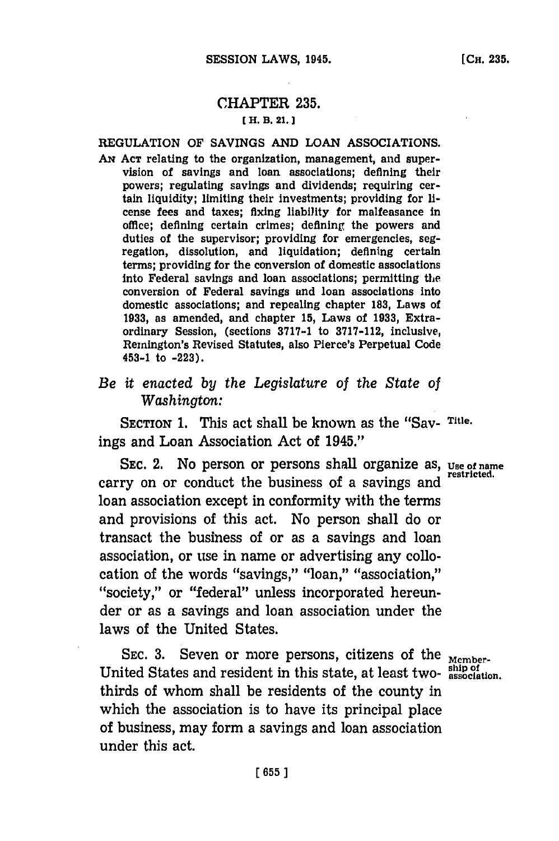# CHAPTER **235. t H. B. 21. J**

## **REGULATION OF SAVINGS AND LOAN ASSOCIATIONS.**

**AN ACT** relating to the organization, management, and supervision of savings and loan associations; defining their powers; regulating savings and dividends; requiring certain liquidity; limiting their investments; providing for license fees and taxes; fixing liability for malfeasance in office; defining certain crimes; defining the powers and duties of the supervisor; providing for emergencies, segregation, dissolution, and liquidation; defining certain terms; providing for the conversion of domestic associations into Federal savings and loan associations; permitting the conversion of Federal savings and loan associations into domestic associations; and repealing chapter **183,** Laws of **1933,** as amended, and chapter **15,** Laws of **1933,** Extraordinary Session, (sections **3717-1** to **3717-112,** inclusive, Remington's Revised Statutes, also Pierce's Perpetual Code 453-1 to **-223).**

# *Be it enacted by the Legislature of the State of Washington:*

**SECTION 1.** This act shall be known as the "Say- **Title.** ings and Loan Association Act of 1945."

**SEC.** 2. No person or persons shall organize as, **Use of name** carry on or conduct the business of a savings and loan association except in conformity with the terms and provisions of this act. No person shall do or transact the business of or as a savings and loan association, or use in name or advertising any collocation of the words "savings," "loan," "association," "society," or "federal" unless incorporated hereunder or as a savings and loan association under the laws of the United States.

SEC. 3. Seven or more persons, citizens of the Member**ship of** United States and resident in this state, at least two- **association.** thirds of whom shall be residents of the county in which the association is to have its principal place of business, may form a savings and loan association under this act.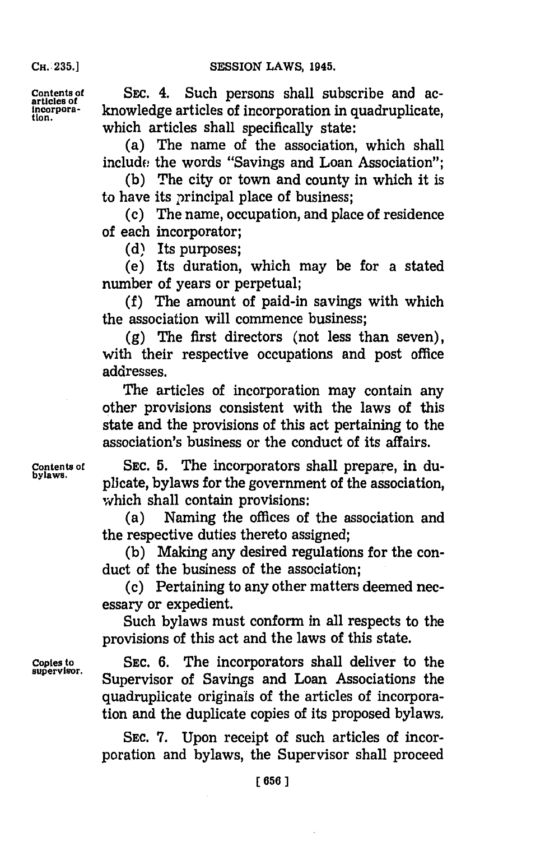**CH..235.]**

**Contents of** SEC. 4. Such persons shall subscribe and ac- **articles of Incorpora-** knowledge articles of incorporation in quadruplicate, **tion.** which articles shall specifically state:

> (a) The name of the association, which shall include the words "Savings and Loan Association";

> **(b)** The city or town and county in which it is to have its principal place of business;

> (c) The name, occupation, and place of residence of each incorporator;

**(d)** Its purposes;

(e) Its duration, which may be for a stated number of years or perpetual;

**(f)** The amount of paid-in savings with which the association will commence business;

**(g)** The first directors (not less than seven), with their respective occupations and post office addresses.

The articles of incorporation may contain any other provisions consistent with the laws of this state and the provisions of this act pertaining to the association's business or the conduct of its affairs.

Contents of SEC. 5. The incorporators shall prepare, in du-<br>bylaws. **bylaws.** plicate, bylaws for the government of the association, which shall contain provisions:

> (a) Naming the offices of the association and the respective duties thereto assigned;

> **(b)** Making any desired regulations for the conduct of the business of the association;

> (c) Pertaining to any other matters deemed necessary or expedient.

> Such bylaws must conform in all respects to the provisions of this act and the laws of this state.

**Copies to SEC. 6.** The incorporators shall deliver to the **supervisor.** Supervisor of Savings and Loan Associations the quadruplicate originals of the articles of incorporation and the duplicate copies of its proposed bylaws.

> **SEC. 7.** Upon receipt of such articles of incorporation and bylaws, the Supervisor shall proceed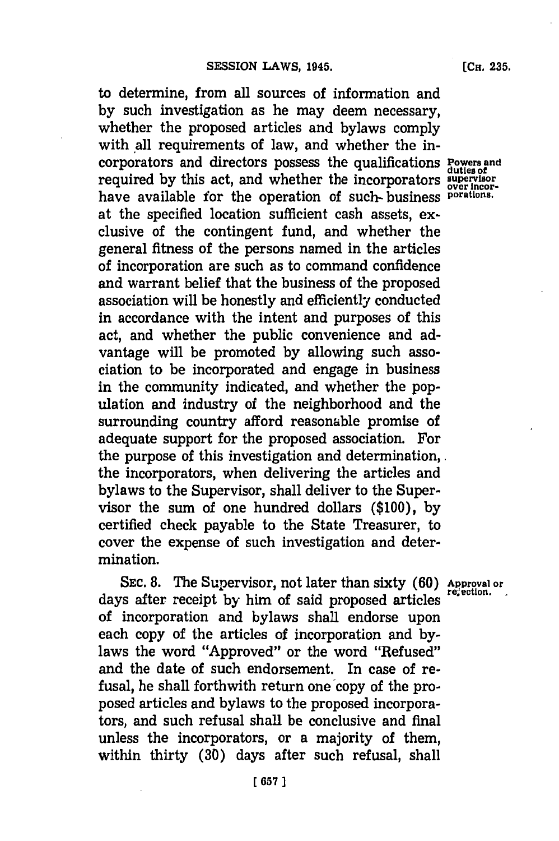to determine, from all sources of information and **by** such investigation as he may deem necessary, whether the proposed articles and bylaws comply with all requirements of law, and whether the incorporators and directors possess the qualifications **Powers** and corporators and directors possess the qualifications **Powers** required by this act, and whether the incorporators supervisor have available for the operation of such- business **porations**. at the specified location sufficient cash assets, exclusive of the contingent fund, and whether the general fitness of the persons named in the articles of incorporation are such as to command confidence and warrant belief that the business of the proposed association will be honestly and efficiently conducted in accordance with the intent and purposes of this act, and whether the public convenience and advantage will be promoted **by** allowing such association to be incorporated and engage in business in the community indicated, and whether the population and industry of the neighborhood and the surrounding country afford reasonable promise of adequate support for the proposed association. For the purpose of this investigation and determination,. the incorporators, when delivering the articles and bylaws to the Supervisor, shall deliver to the Supervisor the sum of one hundred dollars **(\$100), by** certified check payable to the State Treasurer, to cover the expense of such investigation and determination.

**SEC. 8.** The Supervisor, not later than sixty **(60) Approval or** days after receipt by him of said proposed articles of incorporation and bylaws shall endorse upon each copy of the articles of incorporation and **by**laws the word "Approved" or the word "Refused" and the date of such endorsement. In case of refusal, he shall forthwith return one copy of the proposed articles and bylaws to the proposed incorporators, and such refusal shall be conclusive and final unless the incorporators, or a majority of them, within thirty **(30)** days after such refusal, shall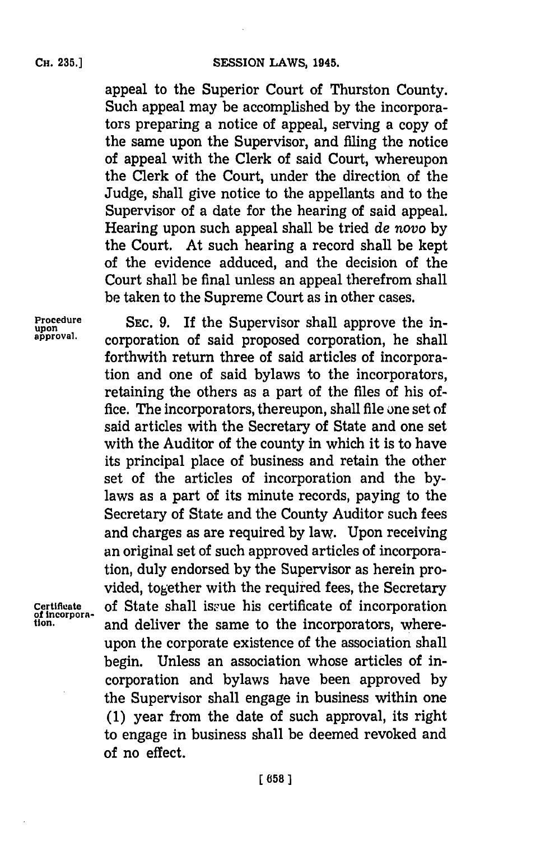appeal to the Superior Court of Thurston County. Such appeal may be accomplished **by** the incorporators preparing a notice of appeal, serving a copy of the same upon the Supervisor, and fiing the notice of appeal with the Clerk of said Court, whereupon the Clerk of the Court, under the direction of the Judge, shall give notice to the appellants and to the Supervisor of a date for the hearing of said appeal. Hearing upon such appeal shall be tried *de novo* **by** the Court. At such hearing a record shall be kept of the evidence adduced, and the decision of the Court shall be final unless an appeal therefrom shall be taken to the Supreme Court as in other cases.

Procedure **SEC. 9.** If the Supervisor shall approve the in-<br>upon<br>approval. cornoration of said proposed comparation, he shall **approval,** corporation of said proposed corporation, he shall forthwith return three of said articles of incorporation and one of said bylaws to the incorporators, retaining the others as a part of the files of his office. The incorporators, thereupon, shall file one set of said articles with the Secretary of State and one set with the Auditor of the county in which it is to have its principal place of business and retain the other set of the articles of incorporation and the **by**laws as a part of its minute records, paying to the Secretary of State and the County Auditor such fees and charges as are required **by** law. Upon receiving an original set of such approved articles of incorporation, duly endorsed **by** the Supervisor as herein provided, together with the required fees, the Secretary Certificate of State shall issue his certificate of incorporation of incorporation and deliver the same to the incorporators, whereupon the corporate existence of the association shall begin. Unless an association whose articles of incorporation and bylaws have been approved **by** the Supervisor shall engage in business within one **(1)** year from the date of such approval, its right to engage in business shall be deemed revoked and of no effect.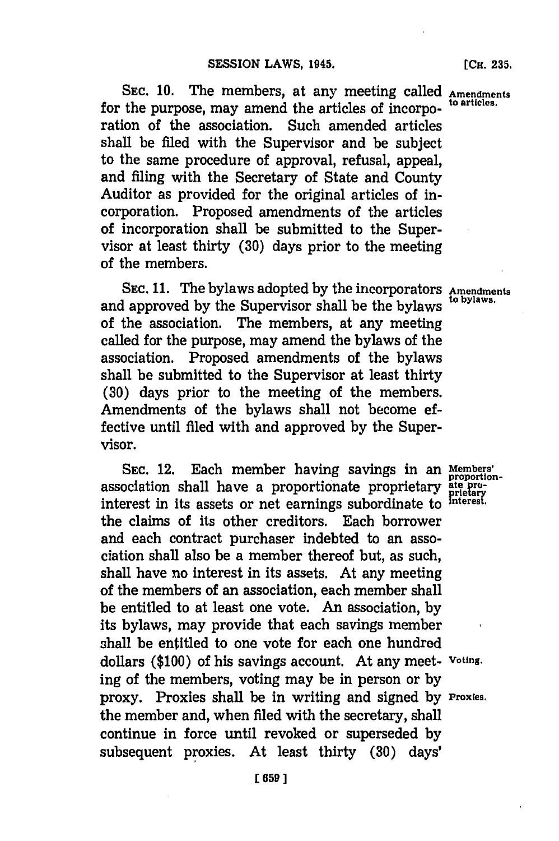SEC. 10. The members, at any meeting called **Amendments** to articles. for the purpose, may amend the articles of incorporation of the association. Such amended articles shall be filed with the Supervisor and be subject to the same procedure of approval, refusal, appeal, and fiing with the Secretary of State and County Auditor as provided for the original articles of incorporation. Proposed amendments of the articles of incorporation shall be submitted to the Supervisor at least thirty **(30)** days prior to the meeting of the members.

**SEC. 11.** The bylaws adopted **by** the incorporators **Amendments** and approved **by** the Supervisor shall be the bylaws **to bylaws.** of the association. The members, at any meeting called for the purpose, may amend the bylaws of the association. Proposed amendments of the bylaws shall be submitted to the Supervisor at least thirty **(30)** days prior to the meeting of the members. Amendments of the bylaws shall not become effective until filed with and approved **by** the Supervisor.

**SEC.** 12. Each member having savings in an **Members'** association shall have a proportionate proprietary **ate po**interest in its assets or net earnings subordinate to interest. the claims of its other creditors. Each borrower and each contract purchaser indebted to an association shall also be a member thereof but, as such, shall have no interest in its assets. At any meeting of the members of an association, each member shall be entitled to at least one vote. An association, **by** its bylaws, may provide that each savings member shall be entitled to one vote for each one hundred dollars **(\$100)** of his savings account. At any meet- **Voting.** ing of the members, voting may be in person or **by** proxy. Proxies shall be in writing and signed **by Proxies.** the member and, when filed with the secretary, shall continue in force until revoked or superseded **by** subsequent proxies. At least thirty **(30)** days'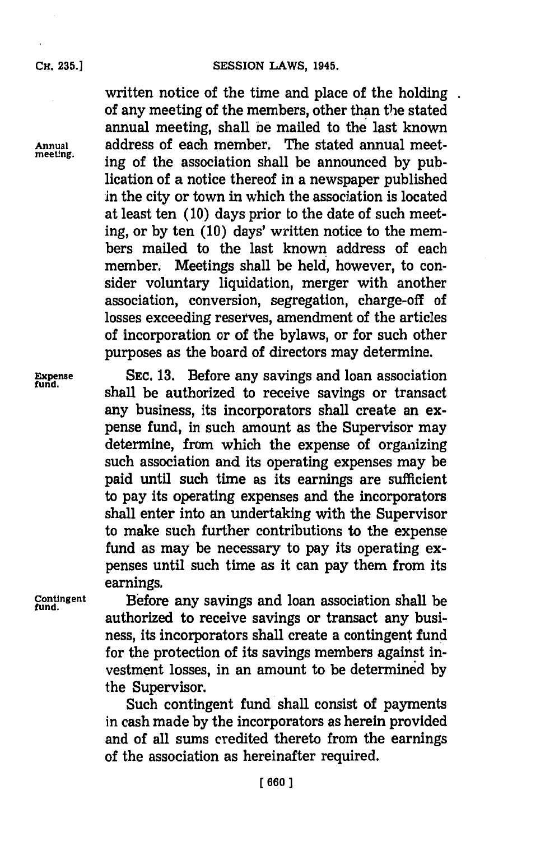## **CH. 35.]SESSION LAWS, 1945.**

written notice of the time and place of the holding. of any meeting of the members, other than the stated annual meeting, shall be mailed to the last known **Annual** address of each member. The stated annual meeting of the association shall be announced by publication of a notice thereof in a newspaper published in the city or town in which the association is located at least ten **(10)** days prior to the date of such meeting, or **by** ten **(10)** days' written notice to the members mailed to the last known address of each member. Meetings shall be held, however, to consider voluntary liquidation, merger with another association, conversion, segregation, charge-off of losses exceeding reserves, amendment of the articles of incorporation or of the bylaws, or for such other purposes as the board of directors may determine.

**Expense SEC. 13.** Before any savings and loan association fund. **fund.** shall be authorized to receive savings or transact any business, its incorporators shall create an expense fund, in such amount as the Supervisor may determine, from which the expense of organizing such association and its operating expenses may be paid until such time as its earnings are sufficient to pay its operating expenses and the incorporators shall enter into an undertaking with the Supervisor to make such further contributions to the expense fund as may be necessary to pay its operating **ex**penses until such time as it can pay them from its earnings.

**Contingent** Before any savings and loan association shall be **fund.** authorized to receive savings or transact any business, its incorporators shall create a contingent fund for the protection of its savings members against investment losses, in an amount to be determined **by** the Supervisor.

> Such contingent fund shall consist of payments in cash made **by** the incorporators as herein provided and of all sums credited thereto from the earnings of the association as hereinafter required.

**CH. 235.]**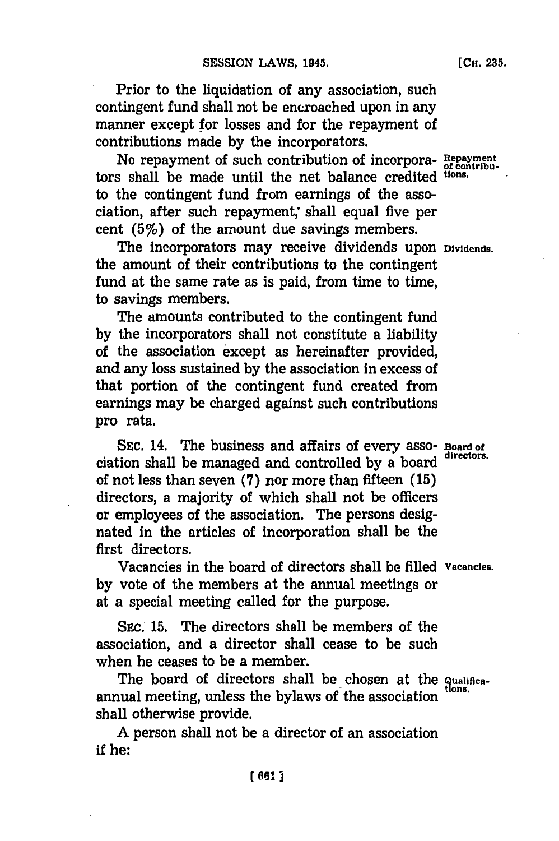Prior to the liquidation of any association, such contingent fund shall not be encroached upon in any manner except for losses and for the repayment of contributions made **by** the incorporators.

No repayment of such contribution of incorpora- **Repayment** tors shall be made until the net balance credited tions. to the contingent fund from earnings of the association, after such repayment; shall equal five per cent  $(5\%)$  of the amount due savings members.

The incorporators may receive dividends upon **Dividends.** the amount of their contributions to the contingent fund at the same rate as is paid, from time to time, to savings members.

The amounts contributed to the contingent fund **by** the incorporators shall not constitute a liability of the association except as hereinafter provided, and any loss sustained **by** the association in excess of that portion of the contingent fund created from earnings may be charged against such contributions pro rata.

SEC. 14. The business and affairs of every asso- **Board of** ciation shall be managed and controlled **by** a board **directors.** of not less than seven **(7)** nor more than fifteen **(15)** directors, a majority of which shall not be officers or employees of the association. The persons designated in the articles of incorporation shall be the first directors.

Vacancies in the board of directors shall be filled **Vacancies. by** vote of the members at the annual meetings or at a special meeting called for the purpose.

**SEC.' 15.** The directors shall be members of the association, and a director shall cease to be such when he ceases to be a member.

The board of directors shall be chosen at the **qualifica**annual meeting, unless the bylaws of the association shall otherwise provide.

**A** person shall not be a director of an association if he: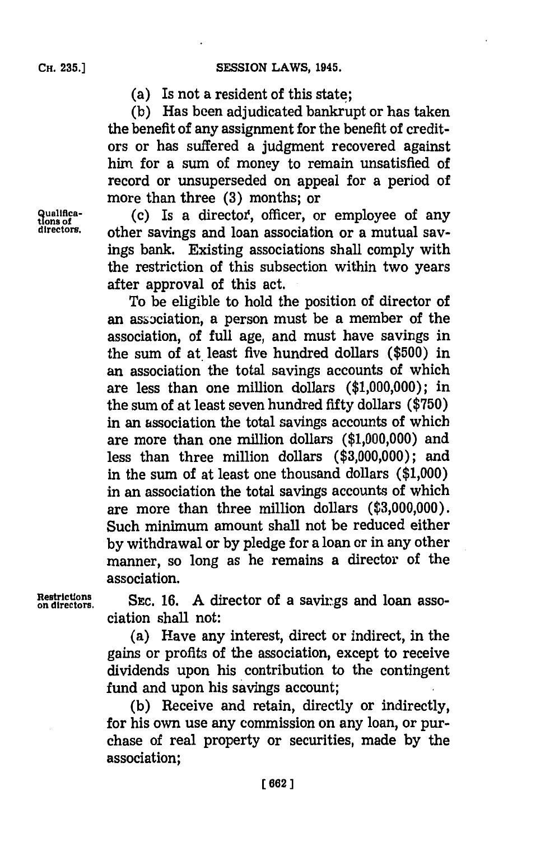(a) Is not a resident of this state;

**(b)** Has been adjudicated bankrupt or has taken the benefit of any assignment for the benefit of creditors or has suffered a judgment recovered against him for a sum of money to remain unsatisfied of record or unsuperseded on appeal for a period of more than three **(3)** months; or

qualifica-<br>tions of (c) Is a director, officer, or employee of any<br>directors. other savings and loan association or a mutual savother savings and loan association or a mutual savings bank. Existing associations shall comply with the restriction of this subsection within two years after approval of this act.

> To be eligible to hold the position of director of an association, a person must be a member of the association, of full age, and must have savings in the sum of at least five hundred dollars (\$500) in an association the total savings accounts of which are less than one million dollars **(\$1,000,000);** in the sum of at least seven hundred fifty dollars **(\$750)** in an association the total savings accounts of which are more than one million dollars **(\$1,000,000)** and less than three million dollars **(\$3,000,000);** and in the sum of at least one thousand dollars **(\$1,000)** in an association the total savings accounts of which are more than three million dollars **(\$3,000,000).** Such minimum amount shall not be reduced either **by** withdrawal or **by** pledge for a loan or in any other manner, so long as he remains a director of the association.

Restrictions SEC. 16. A director of a savings and loan asso-<br>on directors. ciation shall not:

> (a) Have any interest, direct or indirect, in the gains or profits of the association, except to receive dividends upon his contribution to the contingent fund and upon his savings account;

> **(b)** Receive and retain, directly or indirectly, for his own use any commission on any loan, or purchase of real property or securities, made **by** the association;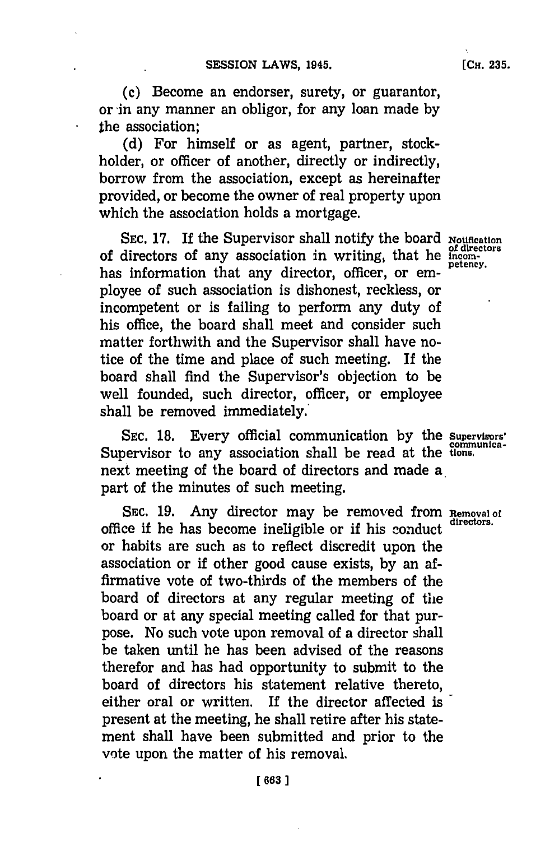(c) Become an endorser, surety, or guarantor, or in any manner an obligor, for any loan made **by** the association;

**(d)** For himself or as agent, partner, stockholder, or officer of another, directly or indirectly, borrow from the association, except as hereinafter provided, or become the owner of real property upon which the association holds a mortgage.

SEC. 17. If the Supervisor shall notify the board **Notification** of directors of any association in writing, that he *incom* has information that any director, officer, or employee of such association is dishonest, reckless, or incompetent or is failing to perform any duty of his office, the board shall meet and consider such matter forthwith and the Supervisor shall have notice of the time and place of such meeting. If the board shall find the Supervisor's objection to be well founded, such director, officer, or employee shall be removed immediately.'

**SEC. 18.** Every official communication **by** the **supervisors'** Supervisor to any association shall be read at the tions. next meeting of the board of directors and made a part of the minutes of such meeting.

SEC. 19. Any director may be removed from **Removal of** the directors. office **if** he has become ineligible or **if** his conduct **directors.** or habits are such as to reflect discredit upon the association or if other good cause exists, **by** an affirmative vote of two-thirds of the members of the board of directors at any regular meeting of the board or at any special meeting called for that purpose. No such vote upon removal of a director shall be taken until he has been advised of the reasons therefor and has had opportunity to submit to the board of directors his statement relative thereto, either oral or written. If the director affected ispresent at the meeting, he shall retire after his statement shall have been submitted and prior to the vote upon the matter of his removal.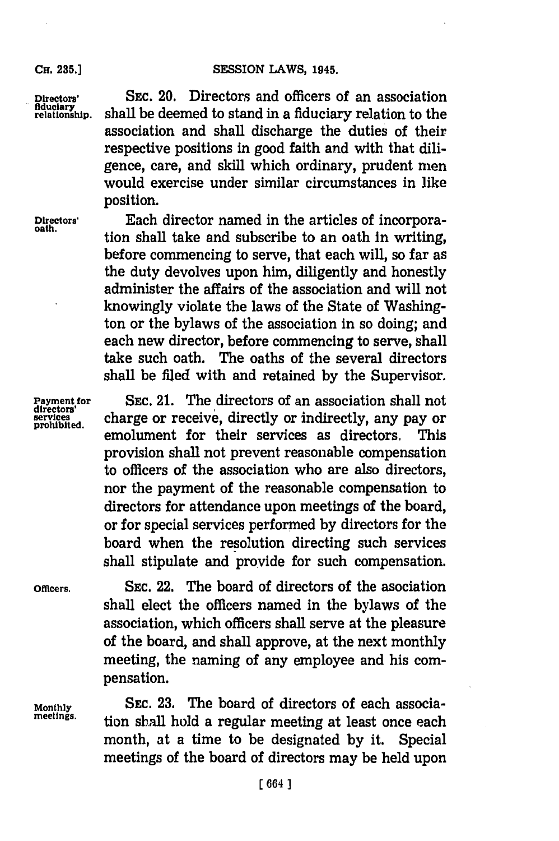#### Cu. **35.]SESSION** LAWS, **1945.**

**Directors'** SEC. 20. Directors and officers of an association **redutioghip.** shall be deemed to stand in a fiduciary relation to the association and shall discharge the duties of their respective positions in good faith and with that diligence, care, and skill which ordinary, prudent men would exercise under similar circumstances in like position.

**Directors'** Each director named in the articles of incorpora**oath.** tion shall take and subscribe to an oath in writing, before commencing to serve, that each will, so far as the duty devolves upon him, diligently and honestly administer the affairs of the association and will not knowingly violate the laws of the State of Washington or the bylaws of the association in so doing; and each new director, before commencing to serve, shall take such oath. The oaths of the several directors shall be filed with and retained **by** the Supervisor.

**Payment for** SEC. 21. The directors of an association shall not **services** charge or receive, directly or indirectly, any pay or **prohibited.** emolument for their services as directors, This provision shall not prevent reasonable compensation to officers of the association who are also directors, nor the payment of the reasonable compensation to directors for attendance upon meetings of the board, or for special services performed **by** directors for the board when the resolution directing such services shall stipulate and provide for such compensation.

**Officers. SEC.** 22. The board of directors of the asociation shall elect the officers named in the bylaws of the association, which officers shall serve at the pleasure of the board, and shall approve, at the next monthly meeting, the naming of any employee and his compensation.

**Monthly SEC. 23.** The board of directors of each association shall hold a regular meeting at least once each month, at a time to be designated **by** it. Special meetings of the board of directors may be held upon

## **CH. 235.]**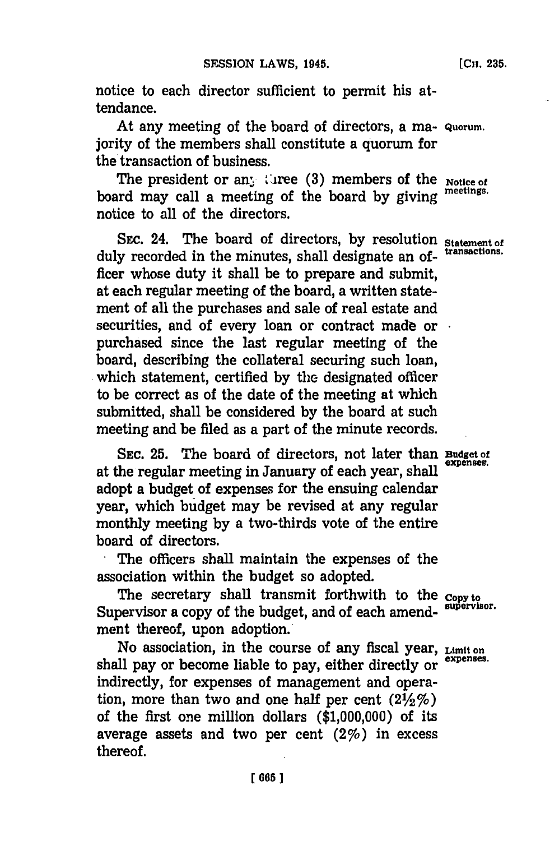notice to each director sufficient to permit his attendance.

At any meeting of the board of directors, a ma- **Quorum.** jority of the members shall constitute a quorum for the transaction of business.

The president or an<sub>*i*</sub> three (3) members of the **Notice of** board may call a meeting of the board **by** giving **meetings.** notice to all of the directors.

SEC. 24. The board of directors, by resolution **Statement** of duly recorded in the minutes, shall designate an of- **transactions.** ficer whose duty it shall be to prepare and submit, at each regular meeting of the board, a written statement of all the purchases and sale of real estate and securities, and of every loan or contract made or  $\cdot$ purchased since the last regular meeting of the board, describing the collateral securing such loan, which statement, certified **by** the designated officer to be correct as of the date of the meeting at which submitted, shall be considered **by** the board at such meeting and be filed as a part of the minute records.

**SEC. 25.** The board of directors, not later than **Budget of** at the regular meeting in January of each year, shall adopt a budget of expenses for the ensuing calendar year, which budget may be revised at any regular monthly meeting **by** a two-thirds vote of the entire board of directors.

.The officers shall maintain the expenses of the association within the budget so adopted.

The secretary shall transmit forthwith to the **Copy to** Supervisor a copy of the budget, and of each amend- **supervisor.** ment thereof, upon adoption.

No association, in the course of any fiscal year, **Limit on** shall pay or become liable to pay, either directly or **expenses.** indirectly, for expenses of management and operation, more than two and one half per cent  $(2\frac{1}{2}\%)$ of the first one million dollars **(\$1,000,000)** of its average assets and two per cent  $(2\%)$  in excess thereof.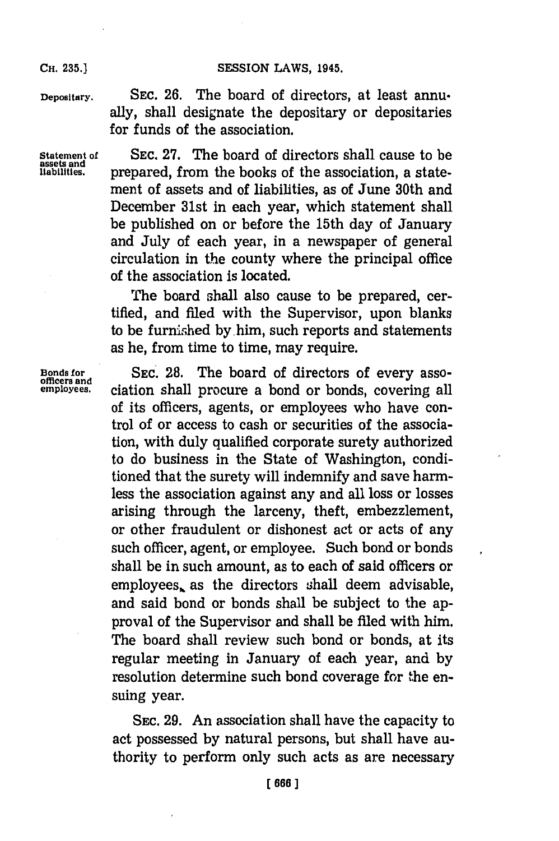## **SESSION LAWS, 1945.**

**CH. 235.]**

**Depositary. SEC. 26.** The board of directors, at least annually, shall designate the depositary or depositaries for funds of the association.

**Statement** of **SEC. 27.** The board of directors shall cause to be **assets and liabilities,** prepared, from the books of the association, a statement of assets and of liabilities, as of June 30th and December 31st in each year, which statement shall be published on or before the 15th day of January and July of each year, in a newspaper of general circulation in the county where the principal office of the association is located.

> The board shall also cause to be prepared, certified, and filed with the Supervisor, upon blanks to be furnished by him, such reports and statements as he, from time to time, may require.

**Bonds for SEC. 28.** The board of directors of every asso- **officers and employees.** ciation shall procure a bond or bonds, covering all of its officers, agents, or employees who have control of or access to cash or securities of the association, with duly qualified corporate surety authorized to do business in the State of Washington, conditioned that the surety will indemnify and save harmless the association against any and all loss or losses arising through the larceny, theft, embezzlement, or other fraudulent or dishonest act or acts of any such officer, agent, or employee. Such bond or bonds shall be in such amount, as to each of said officers or employees, as the directors shall deem advisable, and said bond or bonds shall be subject to the approval of the Supervisor and shall be filed with him. The board shall review such bond or bonds, at its regular meeting in January of each year, and **by** resolution determine such bond coverage for the ensuing year.

> **SEC. 29.** An association shall have the capacity to act possessed **by** natural persons, but shall have authority to perform only such acts as are necessary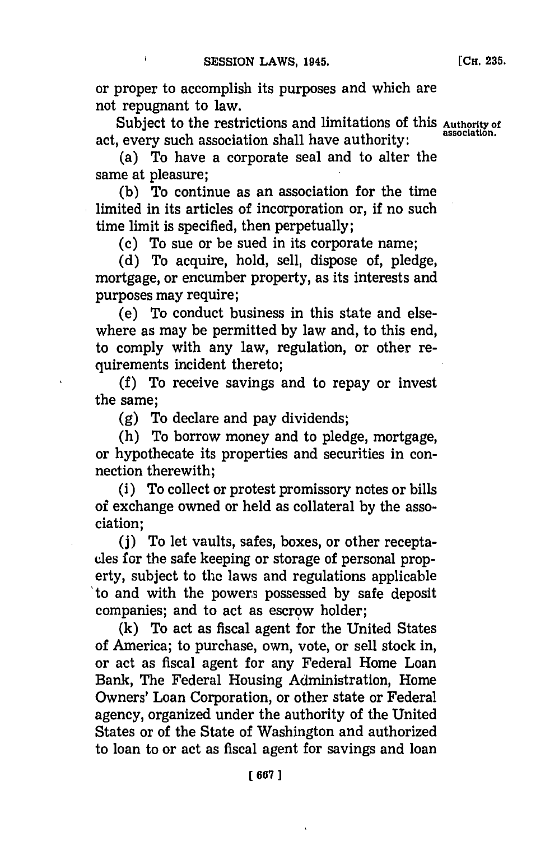or proper to accomplish its purposes and which are not repugnant to law.

Subject to the restrictions and limitations of this **Authority** of act, every such association shall have authority:

(a) To have a corporate seal and to alter the same at pleasure;

**(b)** To continue as an association for the time limited in its articles of incorporation or, if no such time limit is specified, then perpetually;

(c) To sue or be sued in its corporate name;

**(d)** To acquire, hold, sell, dispose of, pledge, mortgage, or encumber property, as its interests and purposes may require;

(e) To conduct business in this state and elsewhere as may be permitted **by** law and, to this end, to comply with any law, regulation, or other requirements incident thereto;

**(f)** To receive savings and to repay or invest the same;

**(g)** To declare and pay dividends;

(h) To borrow money and to pledge, mortgage, or hypothecate its properties and securities in connection therewith;

(i) To collect or protest promissory notes or bills of exchange owned or held as collateral **by** the association;

**(j)** To let vaults, safes, boxes, or other receptacles for the safe keeping or storage of personal property, subject to the laws and regulations applicable to and with the power3~ possessed **by** safe deposit companies; and to act as escrow holder;

**(k)** To act as fiscal agent for the United States of America; to purchase, own, vote, or sell stock in, or act as fiscal agent for any Federal Home Loan Bank, The Federal Housing Administration, Home Owners' Loan Corporation, or other state or Federal agency, organized under the authority of the United States or of the State of Washington and authorized to loan to or act as fiscal agent for savings and loan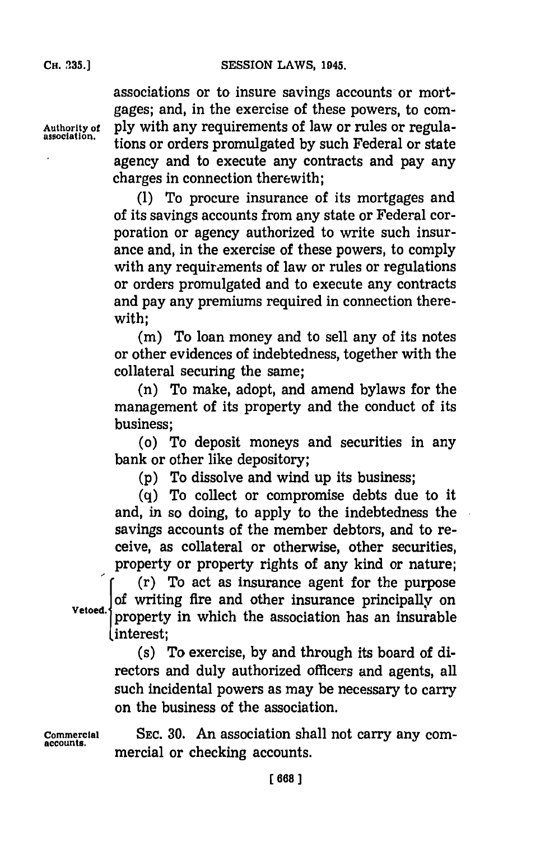associations or to insure savings accounts or mortgages; and, in the exercise of these powers, to com-**Authority of ply** with any requirements of law or rules or regulations or orders promulgated by such Federal or state agency and to execute any contracts and pay any charges in connection therewith;

> **(1)** To procure insurance of its mortgages and of its savings accounts from any state or Federal corporation or agency authorized to write such insurance and, in the exercise of these powers, to comply with any requirements of law or rules or regulations or orders promulgated and to execute any contracts and pay any premiums required in connection therewith;

> **(in)** To loan money and to sell any of its notes or other evidences of indebtedness, together with the collateral securing the same;

> (n) To make, adopt, and amend bylaws for the management of its property and the conduct of its business;

> (o) To deposit moneys and securities in any bank or other like depository;

**(p)** To dissolve and wind up its business;

**(q)** To collect or compromise debts due to it and, in so doing, to apply to the indebtedness the savings accounts of the member debtors, and to receive, as collateral or otherwise, other securities,

property or property rights of any kind or nature;<br>
(r) To act as insurance agent for the purpose of writing fire and other insurance principally on Vetoed. property in which the association has an insurable I interest;

> (s) To exercise, **by** and through its board of directors and duly authorized officers and agents, all such incidental powers as may be necessary to carry on the business of the association.

**Commercial SEC. 30.** An association shall not carry any comnmercial or checking accounts.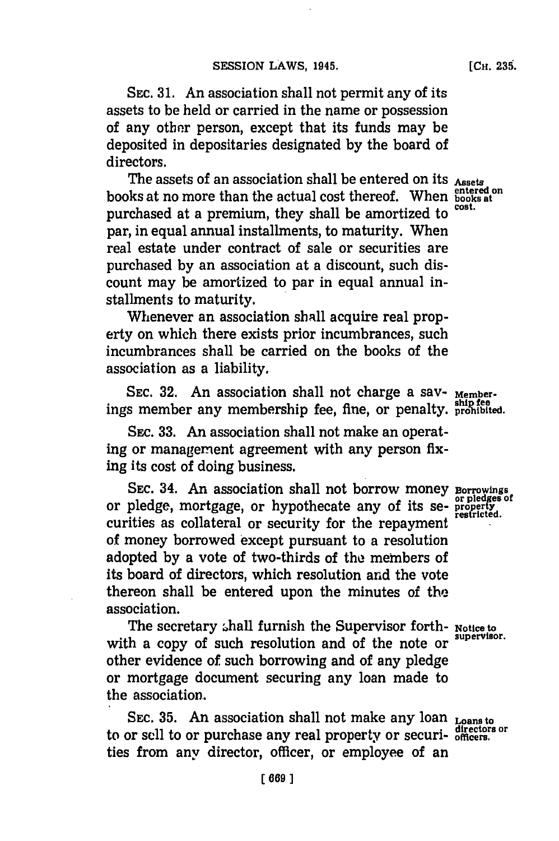**[CH. 239.**

**SEc. 31.** An association shall not permit any of its assets to be held or carried in the name or possession of any other person, except that its funds may be deposited in depositaries designated **by** the board of directors.

The assets of an association shall be entered on its Assets books at no more than the actual cost thereof. When **books at** purchased at a premium, they shall be amortized to par, in equal annual installments, to maturity. When real estate under contract of sale or securities are purchased **by** an association at a discount, such discount may be amortized to par in equal annual installments to maturity.

Whenever an association shall acquire real property on which there exists prior incumbrances, such incumbrances shall be carried on the books of the association as a liability.

SEC. 32. An association shall not charge a sav- <sub>Member-</sub> ings member any membership fee, fine, or penalty, **prohibited**.

**SEC. 33.** An association shall not make an operating or management agreement with any person fixing its cost of doing business.

**SEC.** 34. An association shall not borrow money **Borrowings** or pledge, mortgage, or hypothecate any of its se- **property** curities as collateral or security for the repayment of money borrowed except pursuant to a resolution adopted **by** a vote of two-thirds of the members of its board of directors, which resolution and the vote thereon shall be entered upon the minutes of the association.

The secretary shall furnish the Supervisor forth- **Notice to**<br>all the same of quadranged the same definition of the supervisor. with a copy of such resolution and of the note or other evidence of such borrowing and of any pledge or mortgage document securing any loan made to the association.

**SEc. 35.** An association shall not make any loan **Loans to directors or** to or sell to or purchase any real property or securi- **officers.** ties from any director, officer, or employee of an

**or pledges of**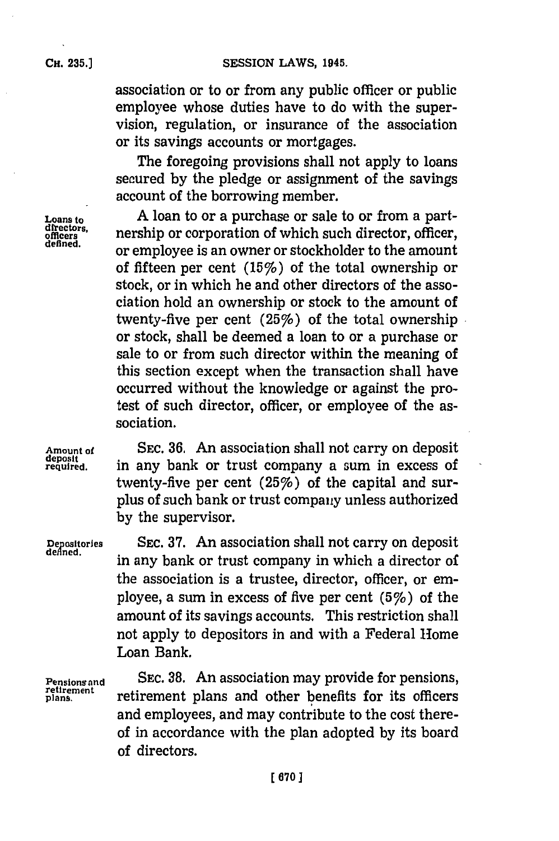association or to or from any public officer or public employee whose duties have to do with the supervision, regulation, or insurance of the association or its savings accounts or mortgages.

The foregoing provisions shall not apply to loans secured **by** the pledge or assignment of the savings account of the borrowing member.

**Loans to A** loan to or a purchase or sale to or from a partdirectors. nership or corporation of which such director, officer, defined. or employee is an owner or stockholder to the amount of fifteen per cent  $(15%)$  of the total ownership or stock, or in which he and other directors of the association hold an ownership or stock to the amount of twenty-five per cent (25%) of the total ownership or stock, shall be deemed a loan to or a purchase or sale to or from such director within the meaning of this section except when the transaction shall have occurred without the knowledge or against the protest of such director, officer, or employee of the association.

Amount of **SEC. 36.** An association shall not carry on deposit deposit required. in any bank or trust company a sum in excess of in any bank or trust company a sum in excess of twenty-five per cent  $(25%)$  of the capital and surplus of such bank or trust company unless authorized **by** the supervisor.

**Depoitries** SEC. **37.** An association shall not carry on deposit in any bank or trust company in which a director of the association is a trustee, director, officer, or em-

ployee, a sum in excess of five per cent  $(5%)$  of the amount of its savings accounts. This restriction shall not apply to depositors in and with a Federal Home Loan Bank.

**Pensions and SEC. 38.** An association may provide for pensions, **retirement** retirement plans and other benefits for its officers and employees, and may contribute to the cost thereof in accordance with the plan adopted **by** its board of directors.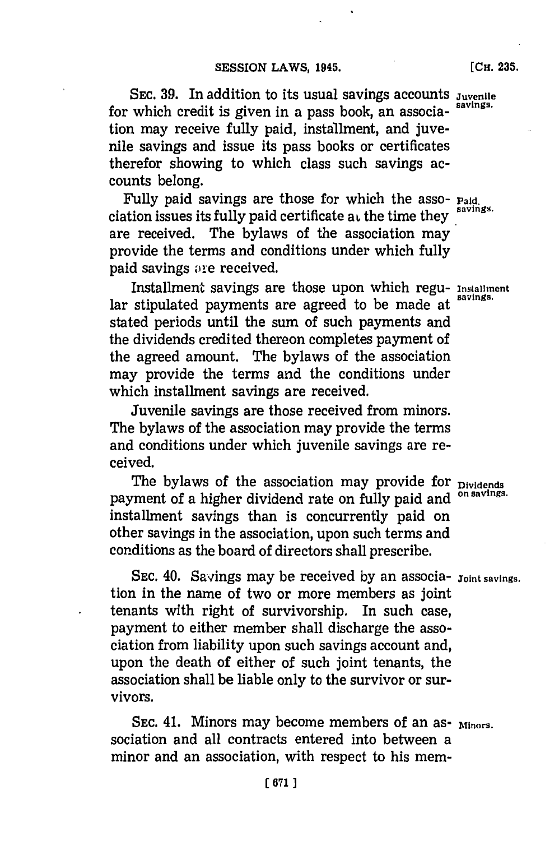SEC. 39. In addition to its usual savings accounts *Juvenile* for which credit is given in a pass book, an association may receive fully paid, installment, and juvenile savings and issue its pass books or certificates therefor showing to which class such savings accounts belong.

Fully paid savings are those for which the asso- **Paid.** ciation issues its fully paid certificate at the time they are received. The bylaws of the association may provide the terms and conditions under which fully paid savings are received.

Installment savings are those upon which regu- Installment lar stipulated payments are agreed to be made at stated periods until the sum of such payments and the dividends credited thereon completes payment of the agreed amount. The bylaws of the association may provide the terms and the conditions under which installment savings are received.

Juvenile savings are those received from minors. The bylaws of the association may provide the terms and conditions under which juvenile savings are received.

The bylaws of the association may provide for **Dividends** payment of a higher dividend rate on fully paid and <sup>on savings.</sup> installment savings than is concurrently paid on other savings in the association, upon such terms and conditions as the board of directors shall prescribe.

SEC. 40. Savings may be received by an associa- *Joint savings.* tion in the name of two or more members as joint tenants with right of survivorship. In such case, payment to either member shall discharge the association from liability upon such savings account and, upon the death of either of such joint tenants, the association shall be liable only to the survivor or survivors.

SEC. 41. Minors may become members of an as- <sub>Minors.</sub> sociation and all contracts entered into between a minor and an association, with respect to his mem-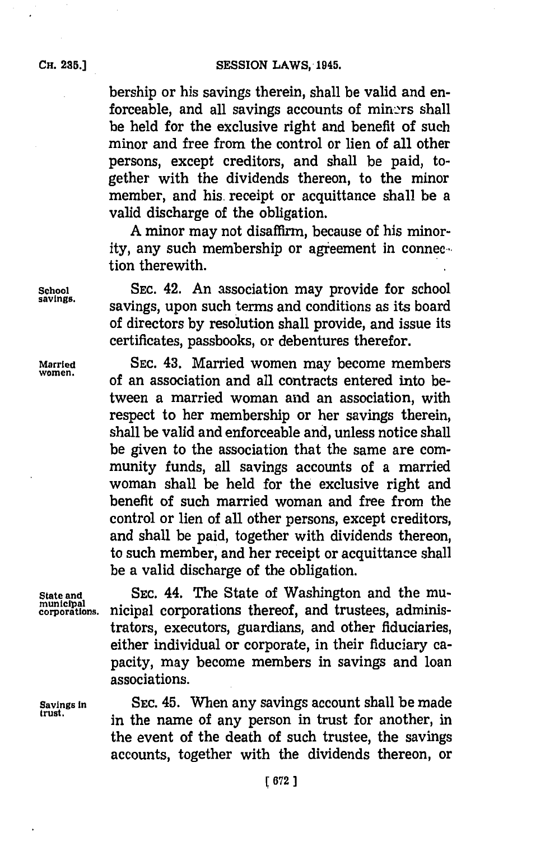bership or his savings therein, shall be valid and enforceable, and all savings accounts of miners shall be held for the exclusive right and benefit of such minor and free from the control or lien of all other persons, except creditors, and shall be paid, together with the dividends thereon, to the minor member, and his. receipt or acquittance shall be a valid discharge of the obligation.

**A** minor may not disaffirm, because of his minority, any such membership or agreement in connection therewith.

School SEC. 42. An association may provide for school savings. **savings,** savings, upon such terms and conditions as its board of directors **by** resolution shall provide, and issue its certificates, passbooks, or debentures therefor.

**Married SEC.** 43. Married women may become members women. of an association and all contracts entered into between a married woman and an association, with respect to her membership or her savings therein, shall be valid and enforceable and, unless notice shall be given to the association that the same are community funds, all savings accounts of a married woman shall be held for the exclusive right and benefit of such married woman and free from the control or lien of all other persons, except creditors, and shall be paid, together with dividends thereon, to such member, and her receipt or acquittance shall be a valid discharge of the obligation.

**State and** SEC. 44. The State of Washington and the mumunicipal<br>corporations. nicipal corporations thereof, and trustees, administrators, executors, guardians, and other fiduciaries, either individual or corporate, in their fiduciary capacity, may become members in savings and loan associations.

**Savings in** SEC. 45. When any savings account shall be made **trust.** in the name of any person in trust for another, in the event of the death of such trustee, the savings accounts, together with the dividends thereon, or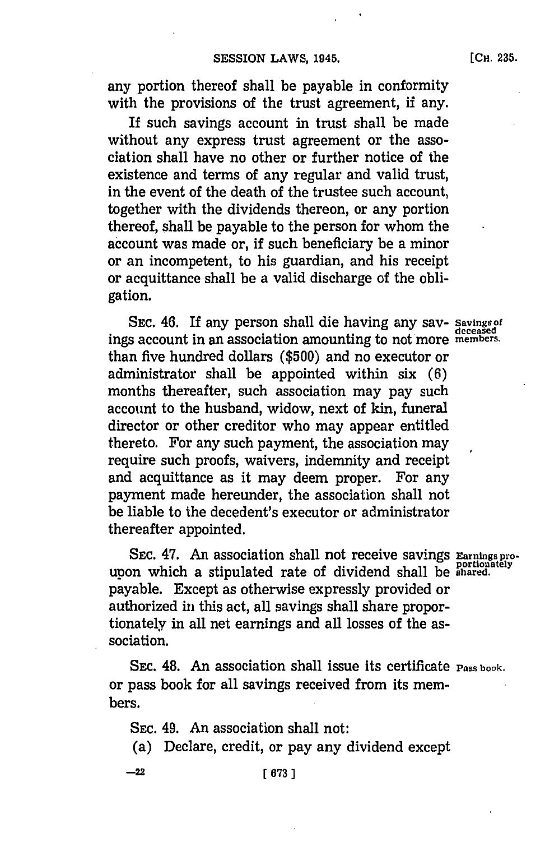## **SESSION LAWS, 1945.**

**(CH. 235.**

any portion thereof shall be payable in conformity with the provisions of the trust agreement, if any.

If such savings account in trust shall be made without any express trust agreement or the association shall have no other or further notice of the existence and terms of any regular and valid trust, in the event of the death of the trustee such account, together with the dividends thereon, or any portion thereof, shall be payable to the person for whom the account was made or, if such beneficiary be a minor or an incompetent, to his guardian, and his receipt or acquittance shall be a valid discharge of the obligation.

**SEC.** 46. If any person shall die having any say- **Savings of deceased** ings account in an association amounting to not more **members.** than five hundred dollars **(\$500)** and no executor or administrator shall be appointed within six **(6)** months thereafter, such association may pay such account to the husband, widow, next of kin, funeral director or other creditor who may appear entitled thereto. For any such payment, the association may require such proofs, waivers, indemnity and receipt and acquittance as it may deem proper. For any payment made hereunder, the association shall not be liable to the decedent's executor or administrator thereafter appointed.

**SEC. 47.** An association shall not receive savings Earnings proupon which a stipulated rate of dividend shall be **shared**. payable. Except as otherwise expressly provided or authorized in this act, all savings shall share proportionately in all net earnings and all losses of the association.

SEC. 48. An association shall issue its certificate **Pass book.** or pass book for all savings received from its members.

**SEC.** 49. An association shall not:

(a) Declare, credit, or pay any dividend except

-22 **[ 673 1**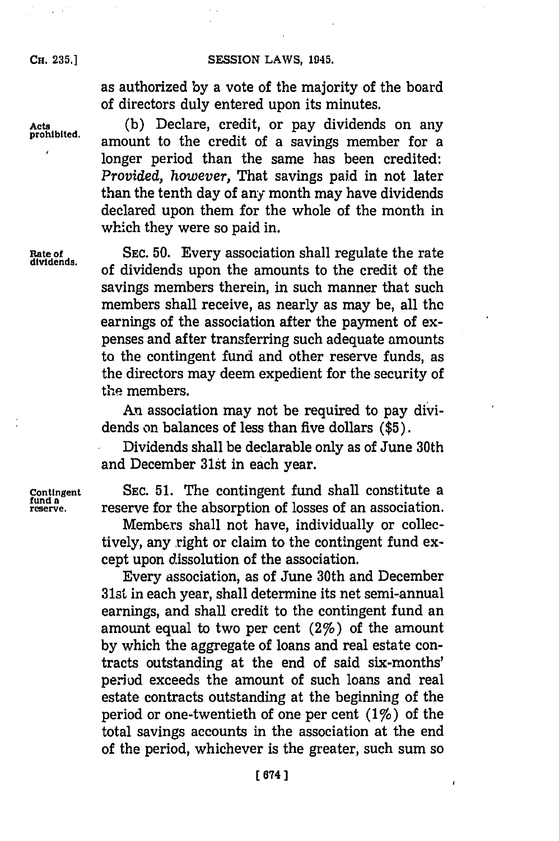### SESSION LAWS, 1945.

**CH. 235.]**

as authorized **by** a vote of the majority of the board of directors duly entered upon its minutes.

Acts (b) Declare, credit, or pay dividends on any prohibited. amount to the credit of a savings member for a longer period than the same has been credited: *Provided, however,* That savings paid in not later than the tenth day of any month may have dividends declared upon them for the whole of the month in which they were so paid in.

Rate of SEC. 50. Every association shall regulate the rate dividends. **dividends.** of dividends upon the amounts to the credit of the savings members therein, in such manner that such members shall receive, as nearly as may be, all the earnings of the association after the payment of expenses and after transferring such adequate amounts to the contingent fund and other reserve funds, as the directors may deem expedient for the security of the members.

> An association may not be required to pay dividends on balances of less than five dollars **(\$5).**

> Dividends shall be declarable only as of June 30th and December 31st in each year.

**Contingent**<br>fund a<br>reserve.

SEC. 51. The contingent fund shall constitute a reserve for the absorption of losses of an association.

Members shall not have, individually or collectively, any right or claim to the contingent fund except upon dissolution of the association.

Every association, as of June 30th and December 31st in each year, shall determine its net semi-annual earnings, and shall credit to the contingent fund an amount equal to two per cent  $(2\%)$  of the amount **by** which the aggregate of loans and real estate contracts outstanding at the end of said six-months' period exceeds the amount of such loans and real estate contracts outstanding at the beginning of the period or one-twentieth of one per cent  $(1\%)$  of the total savings accounts in the association at the end of the period, whichever is the greater, such sum so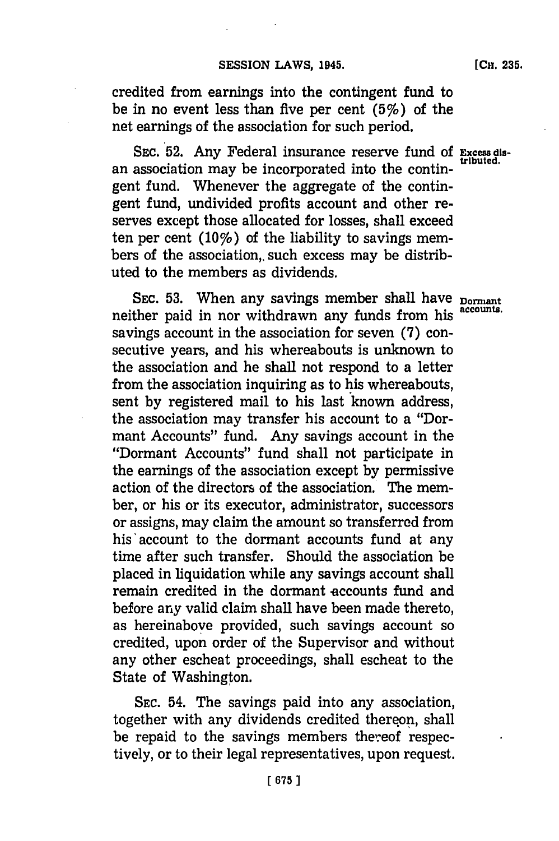[Cki. **235.**

credited from earnings into the contingent fund to be in no event less than five per cent  $(5\%)$  of the net earnings of the association for such period.

SEC. 52. Any Federal insurance reserve fund of **Excess dis**an association may be incorporated into the contingent fund. Whenever the aggregate of the contingent fund, undivided profits account and other reserves except those allocated for losses, shall exceed ten per cent  $(10\%)$  of the liability to savings members of the association, such excess may be distributed to the members as dividends.

SEC. 53. When any savings member shall have **Dormant** neither paid in nor withdrawn any funds from his **accounts.** savings account in the association for seven **(7)** consecutive years, and his whereabouts is unknown to the association and he shall not respond to a letter from the association inquiring as to his whereabouts, sent **by** registered mail to his last known address, the association may transfer his account to a "Dormant Accounts" fund. Any savings account in the "Dormant Accounts" fund shall not participate in the earnings of the association except **by** permissive action of the directors of the association. The member, or his or its executor, administrator, successors or assigns, may claim the amount so transferred from his'account to the dormant accounts fund at any time after such transfer. Should the association be placed in liquidation while any savings account shall remain credited in the dormant accounts fund and before any valid claim shall have been made thereto, as hereinabove provided, such savings account so credited, upon order of the Supervisor and without any other escheat proceedings, shall escheat to the State of Washington.

**SEC.** 54. The savings paid into any association, together with any dividends credited thereon, shall be repaid to the savings members thereof respectively, or to their legal representatives, upon request.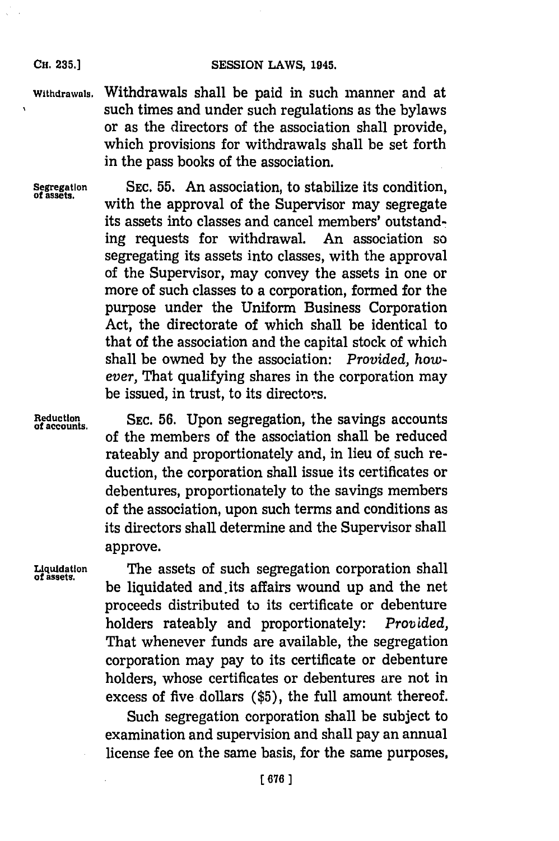## SESSION LAWS, 1945.

**Withdrawals.** Withdrawals shall be paid in such manner and at such times and under such regulations as the bylaws or as the directors of the association shall provide, which provisions for withdrawals shall be set forth in the pass books of the association.

**CH. 235.]**

**Segregation SEC. 55.** An association, to stabilize its condition, **of assets,** with the approval of the Supervisor may segregate its assets into classes and cancel members' outstanding requests for withdrawal. An association so segregating its assets into classes, with the approval of the Supervisor, may convey the assets in one or more of such classes to a corporation, formed for the purpose under the Uniform Business Corporation Act, the directorate of which shall be identical to that of the association and the capital stock of which shall be owned **by** the association: *Provided, however,* That qualifying shares in the corporation may be issued, in trust, to its directors.

**Reduction SEC. 56.** Upon segregation, the savings accounts **of accounts.** of the members of the association shall be reduced rateably and proportionately and, in lieu of such reduction, the corporation shall issue its certificates or debentures, proportionately to the savings members of the association, upon such terms and conditions as its directors shall determine and the Supervisor shall approve.

**Liquidation** The assets of such segregation corporation shall **of assets.** be liquidated and its affairs wound up and the net proceeds distributed to its certificate or debenture holders rateably and proportionately: *Provided,* That whenever funds are available, the segregation corporation may pay to its certificate or debenture holders, whose certificates or debentures are not in excess of five dollars **(\$5),** the full amount thereof.

> Such segregation corporation shall be subject to examination and supervision and shall pay an annual license fee on the same basis, for the same purposes,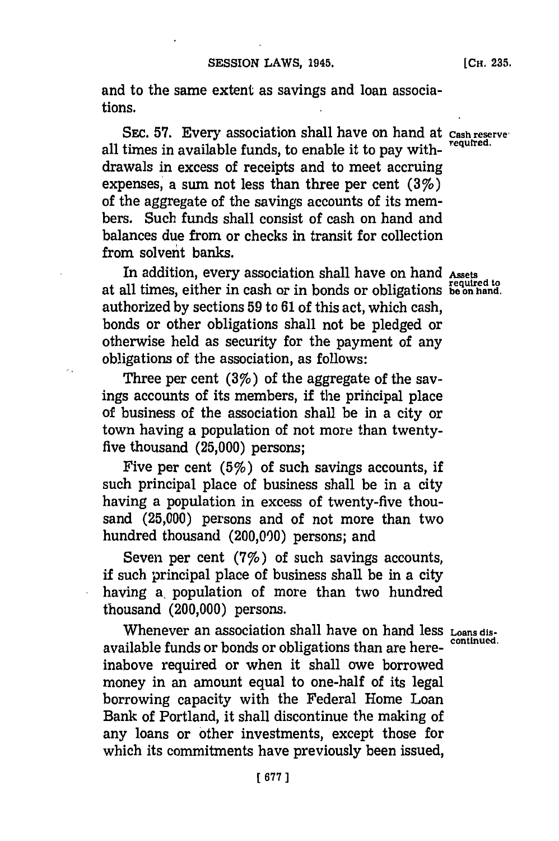and to the same extent as savings and loan associations.

SEC. 57. Every association shall have on hand at *Cash reserve* all times in available funds, to enable it to pay withdrawals in excess of receipts and to meet accruing expenses, a sum not less than three per cent **(3%)** of the aggregate of the savings accounts of its members. Such funds shall consist of cash on hand and balances due from or checks in transit for collection from solvent banks.

In addition, every association shall have on hand Assets at all times, either in cash or in bonds or obligations **bein hand.** authorized **by** sections **59** to **61** of this act, which cash, bonds or other obligations shall not be pledged or otherwise held as security for the payment of any obligations of the association, as follows:

Three per cent  $(3\%)$  of the aggregate of the savings accounts of its members, if the principal place of business of the association shall be in a city or town having a population of not more than twentyfive thousand **(25,000)** persons;

Five per cent  $(5\%)$  of such savings accounts, if such principal place of business shall be in a city having a population in excess of twenty-five thousand **(25,000)** persons and of not more than two hundred thousand (200,000) persons; and

Seven per cent  $(7%)$  of such savings accounts, if such principal place of business shall be in a city having a, population of more than two hundred thousand (200,000) persons.

Whenever an association shall have on hand less **Loans dis-**<br>continued. available funds or bonds or obligations than are hereinabove required or when it shall owe borrowed money in an amount equal to one-half of its legal borrowing capacity with the Federal Home Loan Bank of Portland, it shall discontinue the making of any loans or other investments, except those for which its commitments have previously been issued,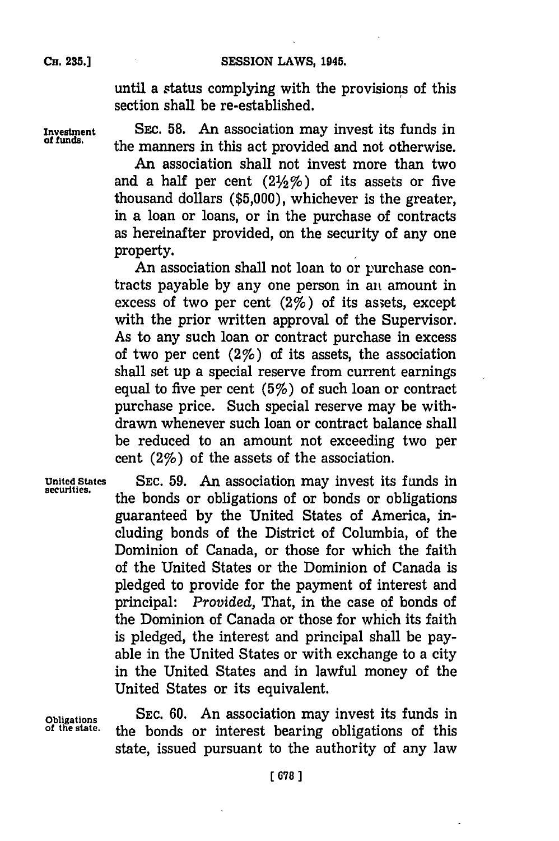until a status complying with the provisions of this section shall be re-established.

**Investment SEC. 58.** An association may invest its funds in **of funds.** the manners in this act provided and not otherwise.

> An association shall not invest more than two and a half per cent  $(2\frac{1}{2}\%)$  of its assets or five thousand dollars **(\$5,000),** whichever is the greater, in a loan or loans, or in the purchase of contracts as hereinafter provided, on the security of any one property.

> An association shall not loan to or purchase contracts payable **by** any one person in ant amount in excess of two per cent  $(2\%)$  of its assets, except with the prior written approval of the Supervisor. As to any such loan or contract purchase in excess of two per cent  $(2\%)$  of its assets, the association shall set up a special reserve from current earnings equal to five per cent  $(5%)$  of such loan or contract purchase price. Such special reserve may be withdrawn whenever such loan or contract balance shall be reduced to an amount not exceeding two per cent  $(2\%)$  of the assets of the association.

United States SEC. 59. An association may invest its funds in securities. the bonds or obligations of or bonds or obligations guaranteed **by** the United States of America, including bonds of the District of Columbia, of the Dominion of Canada, or those for which the faith of the United States or the Dominion of Canada is pledged to provide for the payment of interest and principal: *Provided,* That, in the case of bonds of the Dominion of Canada or those for which its faith is pledged, the interest and principal shall be payable in the United States or with exchange to a city in the United States and in lawful money of the United States or its equivalent.

**Obligations SEC. 60.** An association may invest its funds in the bonds or interest bearing obligations of this state, issued pursuant to the authority of any law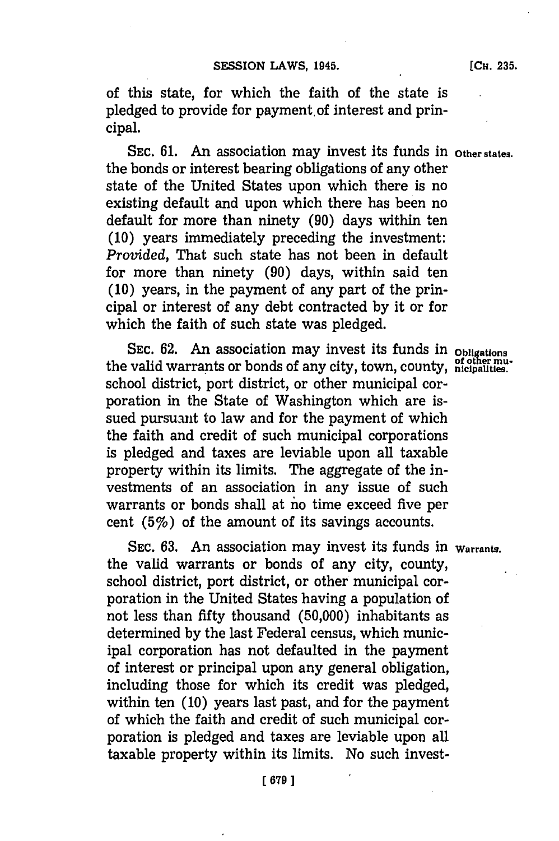of this state, for which the faith of the state is pledged to provide for payment, of interest and principal.

SEC. **61.** An association may invest its funds in **Other states.** the bonds or interest bearing obligations of any other state of the United States upon which there is no existing default and upon which there has been no default for more than ninety **(90)** days within ten **(10)** years immediately preceding the investment: *Provided,* That such state has not been in default for more than ninety **(90)** days, within said ten **(10)** years, in the payment of any part of the principal or interest of any debt contracted **by** it or for which the faith of such state was pledged.

SEc. **62.** An association may invest its funds in **Obligations** the valid warrants or bonds of any city, town, county, prother muschool district, port district, or other municipal corporation in the State of Washington which are issued pursuant to law and for the payment of which the faith and credit of such municipal corporations is pledged and taxes are leviable upon all taxable property within its limits. The aggregate of the investments of an association in any issue of such warrants or bonds shall at no time exceed five per cent (5%) of the amount of its savings accounts.

SEc. **63.** An association may invest its funds in **Warrants.** the valid warrants or bonds of any city, county, school district, port district, or other municipal corporation in the United States having a population of not less than fifty thousand **(50,000)** inhabitants as determined **by** the last Federal census, which municipal corporation has not defaulted in the payment of interest or principal upon any general obligation, including those for which its credit was pledged, within ten **(10)** years last past, and for the payment of which the faith and credit of such municipal corporation is pledged and taxes are leviable upon all taxable property within its limits. No such invest-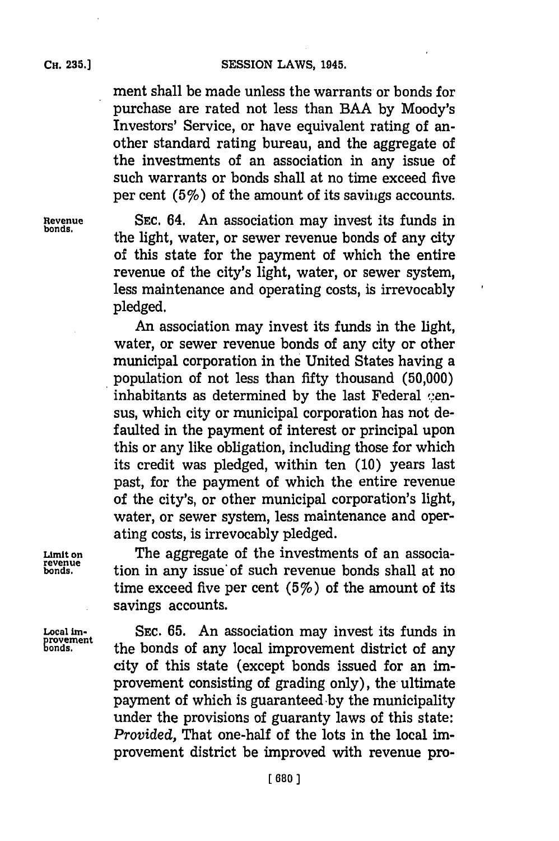ment shall be made unless the warrants or bonds for purchase are rated not less than **BAA by** Moody's Investors' Service, or have equivalent rating of another standard rating bureau, and the aggregate of the investments of an association in any issue of such warrants or bonds shall at no time exceed five per cent  $(5\%)$  of the amount of its savings accounts.

**Revenue SEC.** 64. An association may invest its funds in the light, water, or sewer revenue bonds of any city of this state for the payment of which the entire revenue of the city's light, water, or sewer system, less maintenance and operating costs, is irrevocably pledged.

 $\lambda$ 

An association may invest its funds in the light, water, or sewer revenue bonds of any city or other municipal corporation in the United States having a population of not less than fifty thousand **(50,000)** inhabitants as determined by the last Federal cen**sus,** which city or municipal corporation has not defaulted in the payment of interest or principal upon this or any like obligation, including those for which its credit was pledged, within ten **(10)** years last past, for the payment of which the entire revenue of the city's, or other municipal corporation's light, water, or sewer system, less maintenance and operating costs, is irrevocably pledged.

**Limit on** The aggregate of the investments of an association in any issue of such revenue bonds shall at no time exceed five per cent  $(5%)$  of the amount of its savings accounts.

provement<br>bonds.

**Local** im. **SEC. 65.** An association may invest its funds in the bonds of any local improvement district of any city of this state (except bonds issued for an improvement consisting of grading only), the ultimate payment of which is guaranteed by the municipality under the provisions of guaranty laws of this state: *Provided,* That one-half of the lots in the local improvement district be improved with revenue pro-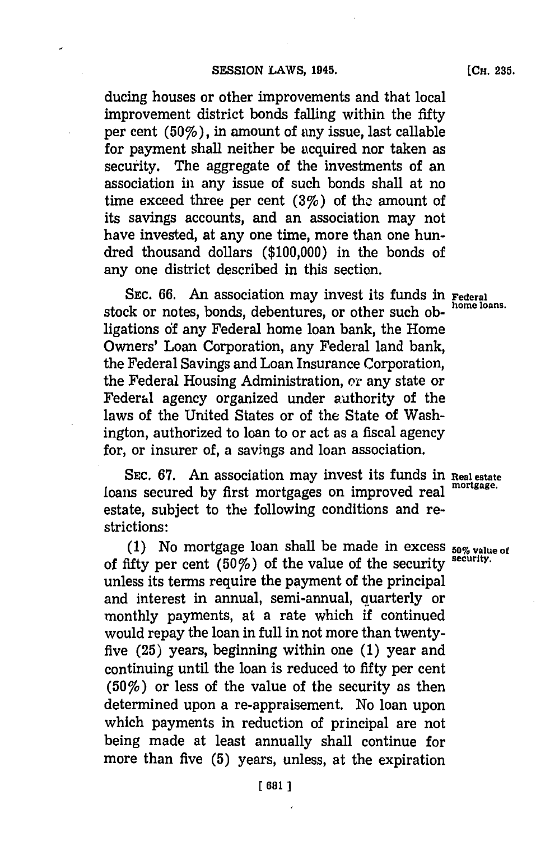ducing houses or other improvements and that local improvement district bonds falling within the fifty per cent  $(50\%)$ , in amount of any issue, last callable for payment shall neither be acquired nor taken as security. The aggregate of the investments of an association in any issue of such bonds shall at no time exceed three per cent  $(3%)$  of the amount of its savings accounts, and an association may not have invested, at any one time, more than one hundred thousand dollars **(\$100,000)** in the bonds of any one district described in this section.

**SEC. 66.** An association may invest its funds in **Federal** stock or notes, bonds, debentures, or other such obligations **of** any Federal home loan bank, the Home Owners' Loan Corporation, any Federal land bank, the Federal Savings and Loan Insurance Corporation, the Federal Housing Administration, or any state or Federal agency organized under authority of the laws of the United States or of the State of Washington, authorized to loan to or act as a fiscal agency for, or insurer of, a savings and loan association.

**SEC. 67.** An association may invest its funds in **Real estate** loans secured **by** first mortgages on improved real **mortgage.** estate, subject to the following conditions and restrictions:

**(1)** No mortgage loan shall be made in excess **50% value of** of fifty per cent  $(50\%)$  of the value of the security security. unless its terms require the payment of the principal and interest in annual, semi-annual, quarterly or monthly payments, at a rate which if continued would repay the loan in full in not more than twentyfive **(25)** years, beginning within one **(1)** year and continuing until the loan is reduced to fifty per cent  $(50\%)$  or less of the value of the security as then determined upon a re-appraisement. No loan upon which payments in reduction of principal are not being made at least annually shall continue for more than five **(5)** years, unless, at the expiration

**[CH. 235.**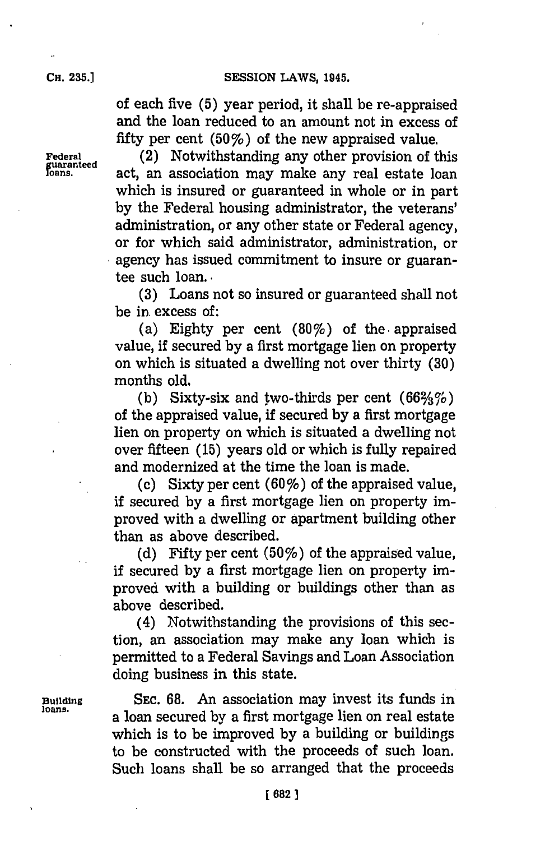## **CH. 35.]SESSION LAWS, 1945.**

of each five **(5)** year period, it shall be re-appraised and the loan reduced to an amount not in excess of fifty per cent (50%) of the new appraised value.

**Federal** (2) Notwithstanding any other provision of this =ntee act, an association may make any real estate loan which is insured or guaranteed in whole or in part **by** the Federal housing administrator, the veterans' administration, or any other state or Federal agency, or for which said administrator, administration, or agency has issued commitment to insure or guarantee such loan..-

> **(3)** Loans not so insured or guaranteed shall not be in. excess of:

> (a) Eighty per cent (80%) of the. appraised value, if secured **by** a first mortgage lien on property on which is situated a dwelling not over thirty **(30)** months old.

> (b) Sixty-six and two-thirds per cent  $(66\frac{2}{3}\%)$ of the appraised value, if secured **by** a first mortgage lien on property on which is situated a dwelling not over fifteen **(15)** years old or which is fully repaired and modernized at the time the loan is made.

> (c) Sixty per cent *(60%)* of the appraised value, if secured **by** a first mortgage lien on property improved with a dwelling or apartment building other than as above described.

> (d) Fifty per cent  $(50\%)$  of the appraised value, if secured **by** a first mortgage lien on property improved with a building or buildings other than as above described.

> (4) Notwithstanding the provisions of this section, an association may make any loan which is permitted to a Federal Savings and Loan Association doing business in this state.

**Building** SEc. **68.** An association may invest its funds in **loans,** a loan secured **by** a first mortgage lien on real estate which is to be improved **by** a building or buildings to be constructed with the proceeds of such loan. Such loans shall be so arranged that the proceeds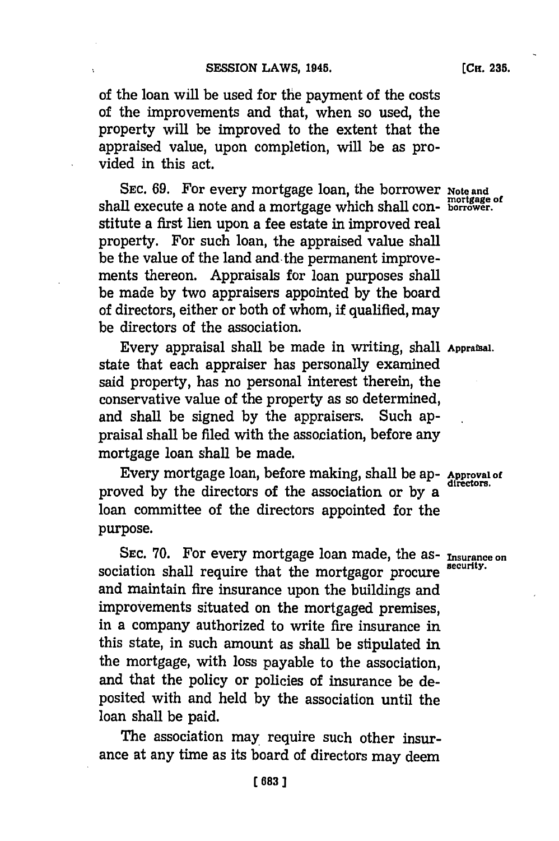of the loan will be used for the payment of the costs of the improvements and that, when so used, the property will be improved to the extent that the appraised value, upon completion, will be as provided in this act.

SEC. 69. For every mortgage loan, the borrower Note and shall execute a note and a mortgage which shall con- **borrower**. stitute a first lien upon a fee estate in improved real property. For such loan, the appraised value shall be the value of the land and- the permanent improvements thereon. Appraisals for loan purposes shall be made **by** two appraisers appointed **by** the board of directors, either or both of whom, **if** qualified, may be directors of the association.

Every appraisal shall be made in writing, shall **Appraisa.** state that each appraiser has personally examined said property, has no personal interest therein, the conservative value of the property as so determined, and shall be signed **by** the appraisers. Such appraisal shall be filed with the association, before any mortgage loan shall be made.

Every mortgage loan, before making, shall be ap- Approval of proved by the directors of the association or by a loan committee of the directors appointed for the purpose.

SEC. 70. For every mortgage loan made, the as-*Insurance on* sociation shall require that the mortgagor procure and maintain fire insurance upon the buildings and improvements situated on the mortgaged premises, in a company authorized to write fire insurance in this state, in such amount as shall be stipulated in the mortgage, with loss payable to the association, and that the policy or policies of insurance be deposited with and held **by** the association until the loan shall be paid.

The association may require such other insurance at any time as its board of directors may deem

**(CH. 235.**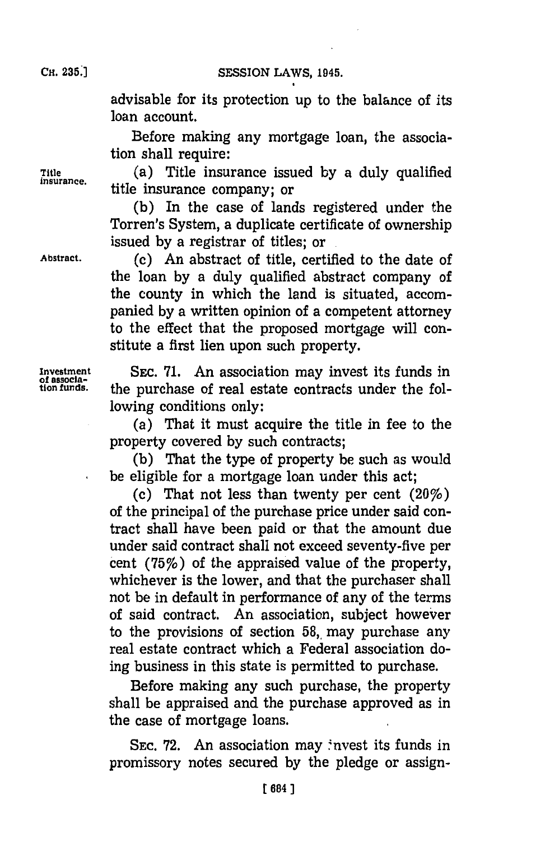SESSION LAWS, 1945.

advisable for its protection up to the balance of its loan account.

Before making any mortgage loan, the association shall require:

**Title** (a) Title insurance issued **by** a duly qualified **insurance,** title insurance company; or

> **(b)** In the case of lands registered under the Torren's System, a duplicate certificate of ownership issued **by** a registrar of titles; **or.**

**Abstract.** (c) An abstract of title, certified to the date of the loan **by** a duly qualified abstract company of the county in which the land is situated, accompanied **by** a written opinion of a competent attorney to the effect that the proposed mortgage will constitute a first lien upon such property.

Investment **SEC. 71.** An association may invest its funds in of association may invest its funds in tion funds. **on fnds.** the purchase of real estate contracts under the following conditions only:

> (a) That it must acquire the title in fee to the property covered **by** such contracts;

> **(b)** That the type of property be such as would be eligible for a mortgage loan under this act;

> (c) That not less than twenty per cent  $(20\%)$ of the principal of the purchase price under said contract shall have been paid or that the amount due under said contract shall not exceed seventy-five per cent ('75%) of the appraised value of the property, whichever is the lower, and that the purchaser shall not be in default in performance of any of the terms of said contract. An association, subject however to the provisions of section 58, may purchase any real estate contract which a Federal association doing business in this state is permitted to purchase.

Before making any such purchase, the property shall be appraised and the purchase approved as in the case of mortgage loans.

SEC. 72. An association may invest its funds in promissory notes secured **by** the pledge or assign-

**CH. 235.1**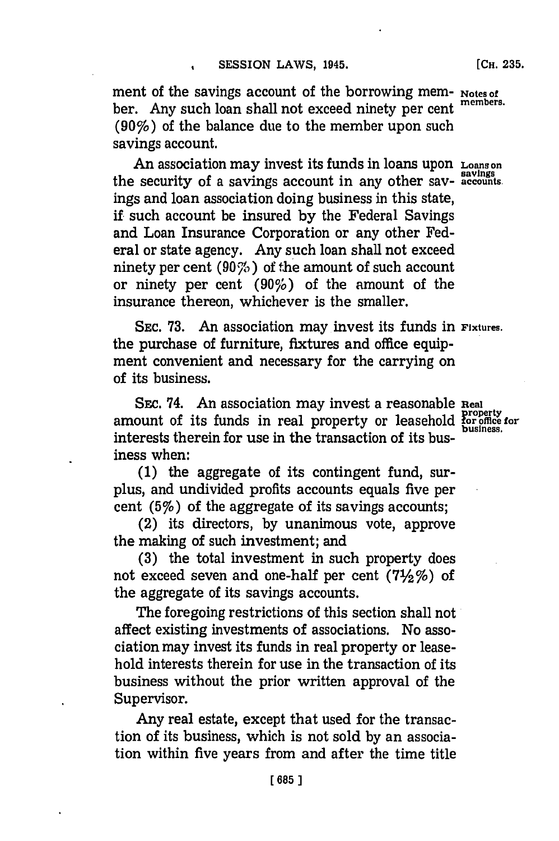ment of the savings account of the borrowing mem- **Notes of** ber. Any such loan shall not exceed ninety per cent (90%) of the balance due to the member upon such savings account.

An association may invest its funds in loans upon **Loanson** the security of a savings account in any other say- **accounts.** ings and loan association doing business in this state, if such account be insured **by** the Federal Savings and Loan Insurance Corporation or any other Federal or state agency. Any such loan shall not exceed ninety per cent ( $90\%$ ) of the amount of such account or ninety per cent **(90%;)** of the amount of the insurance thereon, whichever is the smaller.

**SEC. 73.** An association may invest its funds in **Fixtures.** the purchase of furniture, fixtures and office equipment convenient and necessary for the carrying on of its business.

SEc. 74. An association may invest a reasonable **Real** amount of its funds in real property or leasehold for office for **business.** interests therein for use in the transaction of its **bus**iness when:

**(1)** the aggregate of its contingent fund, surplus, and undivided profits accounts equals five per cent  $(5%)$  of the aggregate of its savings accounts;

(2) its directors, **by** unanimous vote, approve the making of such investment; and

**(3)** the total investment in such property does not exceed seven and one-half per cent **(712%)** of the aggregate of its savings accounts.

The foregoing restrictions of this section shall not affect existing investments of associations. No association may invest its funds in real property or leasehold interests therein for use in the transaction of its business without the prior written approval of the Supervisor.

Any real estate, except that used for the transaction of its business, which is not sold **by** an association within five years from and after the time title

**[CH. 235.**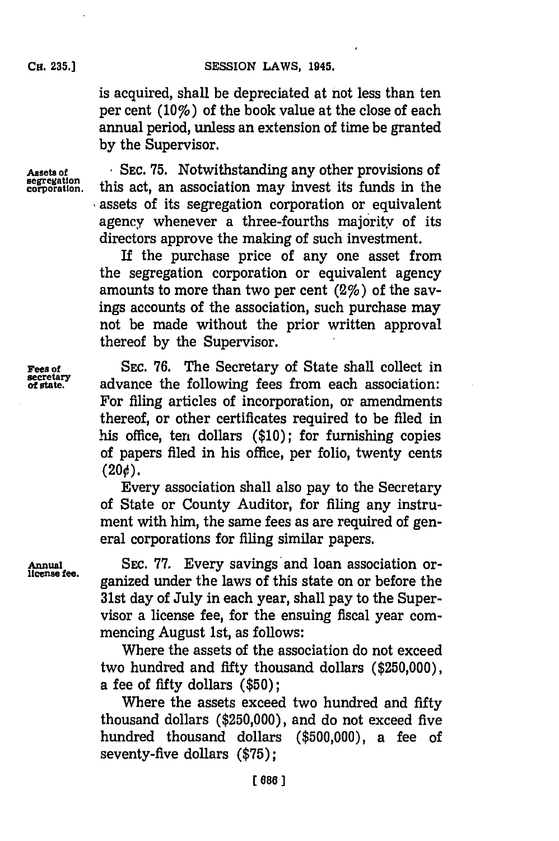is acquired, shall be depreciated at not less than ten per cent  $(10\%)$  of the book value at the close of each annual period, unless an extension of time be granted **by** the Supervisor.

Assets of SEC. 75. Notwithstanding any other provisions of segregation. this act, an association may invest its funds in the this act, an association may invest its funds in the assets of its segregation corporation or equivalent agency whenever a three-fourths majority of its directors approve the making of such investment.

> If the purchase price of any one asset from the segregation corporation or equivalent agency amounts to more than two per cent  $(2\%)$  of the savings accounts of the association, such purchase may not be made without the prior written approval thereof **by** the Supervisor.

**Fees of** SEC. 76. The Secretary of State shall collect in secretary advance the following fees from each association: advance the following fees from each association: For filing articles of incorporation, or amendments thereof, or other certificates required to be filed in his office, ten dollars **(\$10);** for furnishing copies of papers filed in his office, per folio, twenty cents  $(20¢).$ 

Every association shall also pay to the Secretary of State or County Auditor, for filing any instrument with him, the same fees as are required of general corporations for filing similar papers.

Annual SEC. 77. Every savings and loan association organized under the laws of this state on or before the 31st day of July in each year, shall pay to the Supervisor a license fee, for the ensuing fiscal year commencing August 1st, as follows:

> Where the assets of the association do not exceed two hundred and fifty thousand dollars **(\$250,000),** a fee of fifty dollars **(\$50);**

> Where the assets exceed two hundred and fifty thousand dollars **(\$250,000),** and do not exceed five hundred thousand dollars **(\$500,000),** a fee of seventy-five dollars **(\$75);**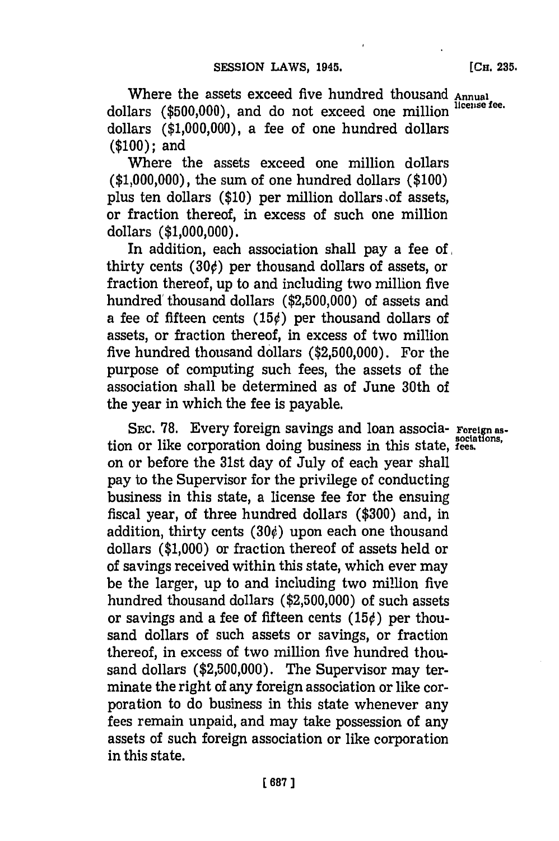Where the assets exceed five hundred thousand Annual<br>  $\frac{1}{2}$ dollars (\$500,000), and do not exceed one million dollars **(\$1,000,000),** a fee of one hundred dollars **(\$100);** and

Where the assets exceed one million dollars **(\$1,000,000),** the sum of one hundred dollars **(\$100)** plus ten dollars (\$10) per million dollars of assets, or fraction thereof, in excess of such one million dollars **(\$1,000,000).**

In addition, each association shall pay a fee of, thirty cents  $(30¢)$  per thousand dollars of assets, or fraction thereof, up to and including two million five hundred' thousand dollars **(\$2,500,000)** of assets and a fee of fifteen cents **(150)** per thousand dollars of assets, or fraction thereof, in excess of two million five hundred thousand dollars **(\$2,500,000).** For the purpose of computing such fees, the assets of the association shall be determined as of June 30th of the year in which the fee is payable.

SEC. 78. Every foreign savings and loan associa- **Foreign** astion or like corporation doing business in this state, **fees**. on or before the 31st day of July of each year shall pay to the Supervisor for the privilege of conducting business in this state, a license fee for the ensuing fiscal year, of three hundred dollars **(\$300)** and, in addition, thirty cents  $(30¢)$  upon each one thousand dollars **(\$1,000)** or fraction thereof of assets held or of savings received within this state, which ever may be the larger, up to and including two million five hundred thousand dollars **(\$2,500,000)** of such assets or savings and a fee of fifteen cents  $(15¢)$  per thousand dollars of such assets or savings, or fraction thereof, in excess of two million five hundred thousand dollars **(\$2,500,000).** The Supervisor may terminate the right of any foreign association or like corporation to do business in this state whenever any fees remain unpaid, and may take possession of any assets of such foreign association or like corporation in this state.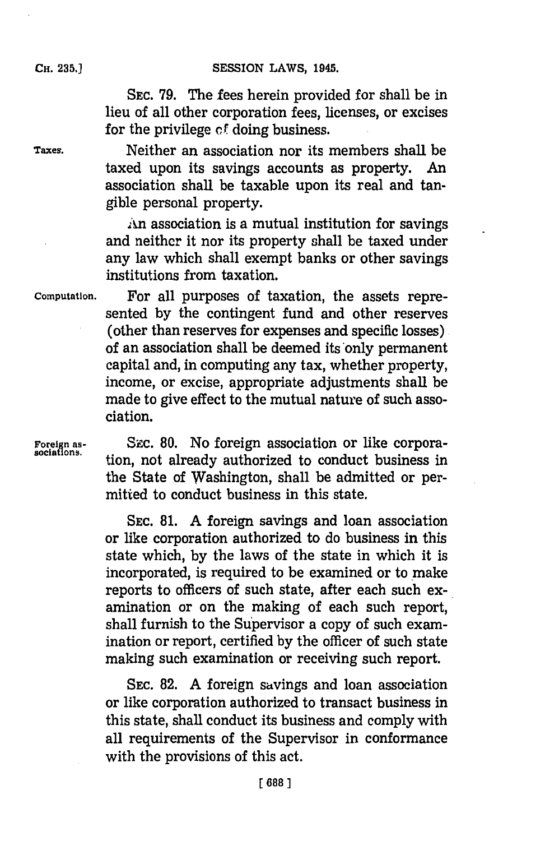**SEC. 79.** The fees herein provided for shall be in lieu of all other corporation fees, licenses, or excises for the privilege **of** doing business.

**Taxes.** Neither an association nor its members shall be taxed upon its savings accounts as property. An association shall be taxable upon its real and tangible personal property.

> An association is a mutual institution for savings and neither it nor its property shall be taxed under any law which shall exempt banks or other savings institutions from taxation.

**Computation.** For all purposes of taxation, the assets represented **by** the contingent fund and other reserves (other than reserves for expenses and specific losses) of an association shall be deemed its only permanent capital and, in computing any tax, whether property, income, or excise, appropriate adjustments shall be made to give effect to the mutual nature of such association.

Foreign as-<br> **Szc. 80.** No foreign association or like corpora-<br>
ion, not already authorized to conduct business in the State of Washington, shall be admitted or permitted to conduct business in this state.

> **SEC. 81. A** foreign savings and loan association or like corporation authorized to do business in this state which, **by** the laws of the state in which it is incorporated, is required to be examined or to make reports to officers of such state, after each such examination or on the making of each such report, shall furnish to the Supervisor a copy of such examination or report, certified **by** the officer of such state making such examination or receiving such report.

> **SEC. 82. A** foreign savings and loan association or like corporation authorized to transact business in this state, shall conduct its business and comply with all requirements of the Supervisor in conformance with the provisions of this act.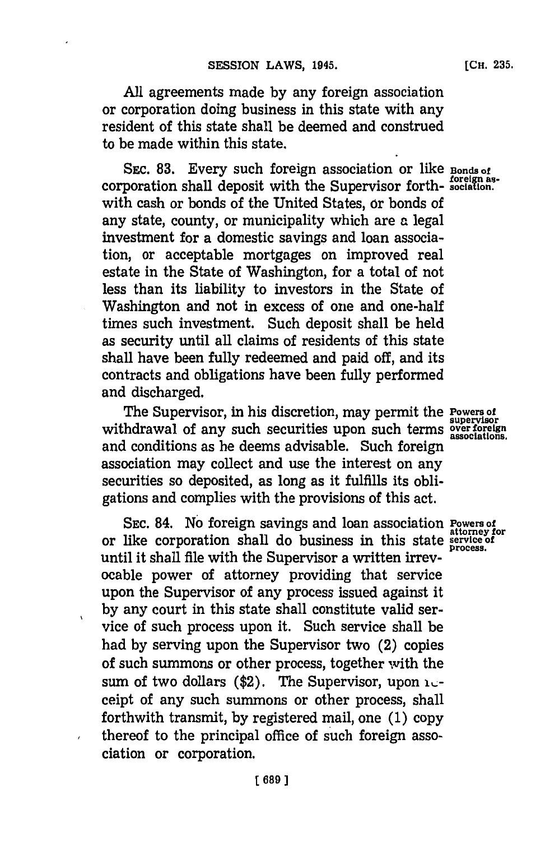**All** agreements made **by** any foreign association or corporation doing business in this state with any resident of this state shall be deemed and construed to be made within this state.

SEC. 83. Every such foreign association or like **Bonds** of corporation shall deposit with the Supervisor forth- **sociation,** with cash or bonds of the United States, or bonds of any state, county, or municipality which are a legal investment for a domestic savings and loan association, or acceptable mortgages on improved real estate in the State of Washington, for a total of not less than its liability to investors in the State of Washington and not in excess of one and one-half times such investment. Such deposit shall be held as security until all claims of residents of this state shall have been fully redeemed and paid off, and its contracts and obligations have been fully performed and discharged.

The Supervisor, in his discretion, may permit the **Powers of supervisor** withdrawal of any such securities upon such terms **over foreign**<br>withdrawal of any such securities upon such terms **over foreign** and conditions as he deems advisable. Such foreign association may collect and use the interest on any securities so deposited, as long as it fulfills its obligations and complies with the provisions of this act.

**SEC. 84. No foreign savings and loan association Powers of** or like corporation shall do business in this state **service of process.** until it shall file with the Supervisor a written irrevocable power of attorney providing that service upon the Supervisor of any process issued against it **by** any court in this state shall constitute valid service of such process upon it. Such service shall be had **by** serving upon the Supervisor two (2) copies of such summons or other process, together with the sum of two dollars (\$2). The Supervisor, upon **i**<sub>c</sub>ceipt of any such summons or other process, shall forthwith transmit, **by** registered mail, one **(1)** copy thereof to the principal office of such foreign association or corporation.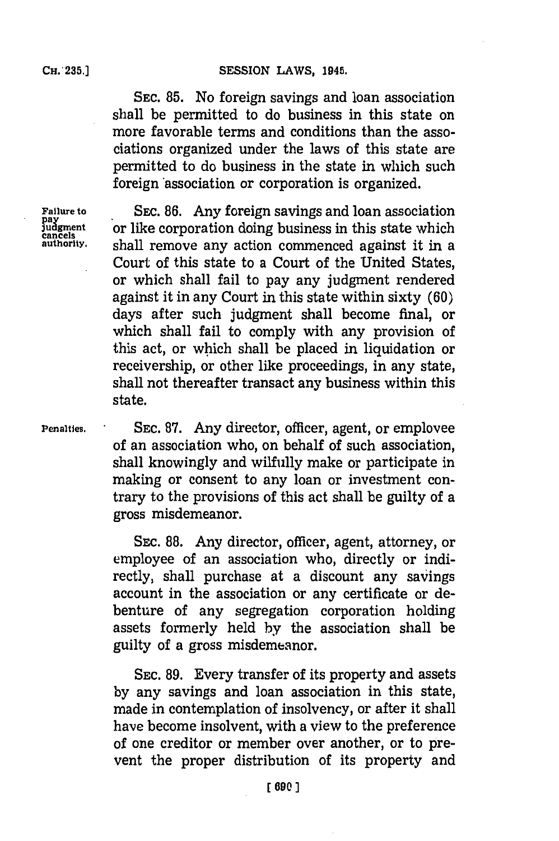**SEC. 85.** No foreign savings and loan association shall be permitted to do business in this state on more favorable terms and conditions than the associations organized under the laws of this state are permitted to do business in the state in which such foreign 'association or corporation is organized.

**Failure to SEC. 86.** Any foreign savings and loan association<br> **SEC. 86.** Any foreign savings and loan association<br> **SEC. 86.** Any foreign savings in this state which fudgment or like corporation doing business in this state which<br>cancels and the state which commenced against it in a shall remove any action commenced against it in a Court of this state to a Court of the United States, or which shall fail to pay any judgment rendered against it in any Court in this state within sixty **(60)** days after such judgment shall become final, or which shall fail to comply with any provision of this act, or which shall be placed in liquidation or receivership, or other like proceedings, in any state, shall not thereafter transact any business within this state.

**Penalties. SEC. 87.** Any director, officer, agent, or employee of an association who, on behalf of such association, shall knowingly and wilfully make or participate in making or consent to any loan or investment contrary to the provisions of this act shall be guilty of a gross misdemeanor.

> SEC. **88.** Any director, officer, agent, attorney, or employee of an association who, directly or indirectly, shall purchase at a discount any savings account in the association or any certificate or debenture of any segregation corporation holding assets formerly held **by** the association shall be guilty of a gross misdemeanor.

> **SEC. 89.** Every transfer of its property and assets **by** any savings and loan association in this state, made in contemplation of insolvency, or after it shall have become insolvent, with a view to the preference of one creditor or member over another, or to prevent the proper distribution of its property and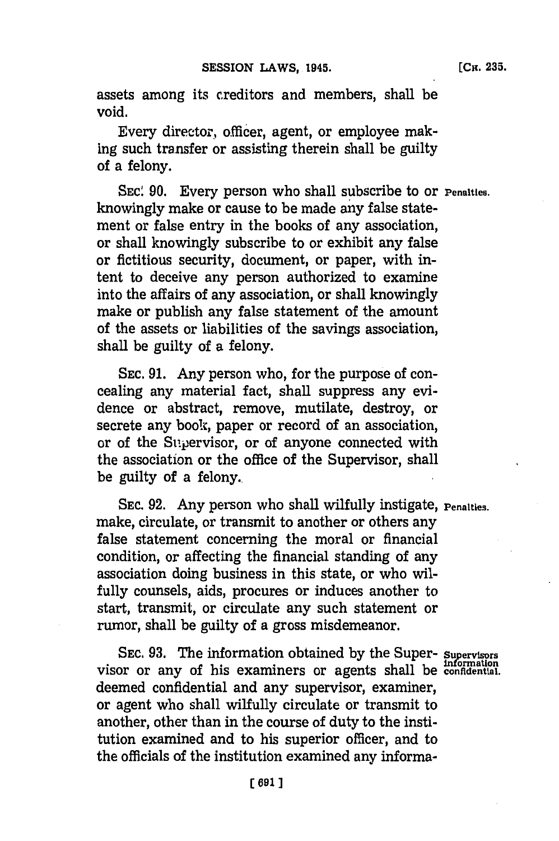assets among its creditors and members, shall be void.

Every director, officer, agent, or employee making such transfer or assisting therein shall be guilty of a felony.

**SEC! 90.** Every person who shall subscribe to or **Penalties.** knowingly make or cause to be made any false statement or false entry in the books of any association, or shall knowingly subscribe to or exhibit any false or fictitious security, document, or paper, with intent to deceive any person authorized to examine into the affairs of any association, or shall knowingly make or publish any false statement of the amount of the assets or liabilities of the savings association, shall be guilty of a felony.

**SEC. 91.** Any person who, for the purpose of concealing any material fact, shall suppress any evidence or abstract, remove, mutilate, destroy, or secrete any book, paper or record of an association, or of the Supervisor, or of anyone connected with the association or the office of the Supervisor, shall be guilty of a felony..

SEC. 92. Any person who shall wilfully instigate, **Penalties.** make, circulate, or transmit to another or others any false statement concerning the moral or financial condition, or affecting the financial standing of any association doing business in this state, or who wilfully counsels, aids, procures or induces another to start, transmit, or circulate any such statement or rumor, shall be guilty of a gross misdemeanor.

**SEC. 93.** The information obtained **by** the Super- **Sufpervisors** visor or any of his examiners or agents shall be **confidential.** deemed confidential and any supervisor, examiner, or agent who shall wilfully circulate or transmit to another, other than in the course of duty to the institution examined and to his superior officer, and to the officials of the institution examined any informa-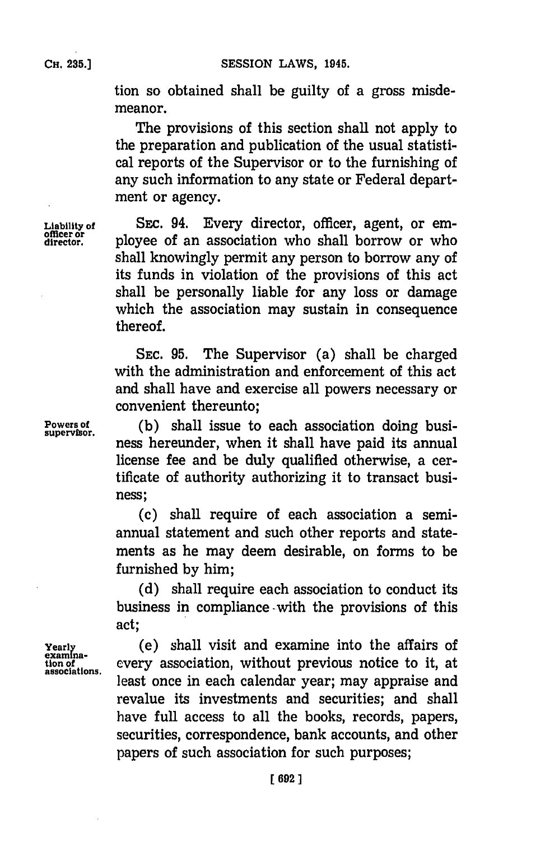tion so obtained shall be guilty of a gross misdemeanor.

The provisions of this section shall not apply to the preparation and publication of the usual statistical reports of the Supervisor or to the furnishing of any such information to any state or Federal department or agency.

SEC. 94. Every director, officer, agent, or employee of an association who shall borrow or who shall knowingly permit any person to borrow any of its funds in violation of the provisions of this act shall be personally liable for any loss or damage which the association may sustain in consequence thereof.

**SEC. 95.** The Supervisor (a) shall be charged with the administration and enforcement of this act and shall have and exercise all powers necessary or convenient thereunto;

Powers of **(b)** shall issue to each association doing business hereunder, when it shall have paid its annual license fee and be duly qualified otherwise, a certificate of authority authorizing it to transact business;

> (c) shall require of each association a semiannual statement and such other reports and statements as he may deem desirable, on forms to be furnished **by** him;

> **(d)** shall require each association to conduct its business in compliance -with the provisions of this act;

**Yearly** (e) shall visit and examine into the affairs of examina**tion of**<br>tion of every association, without previous notice to it, at least once in each calendar year; may appraise and revalue its investments and securities; and shall have full access to all the books, records, papers, securities, correspondence, bank accounts, and other papers of such association for such purposes;

**officer or** o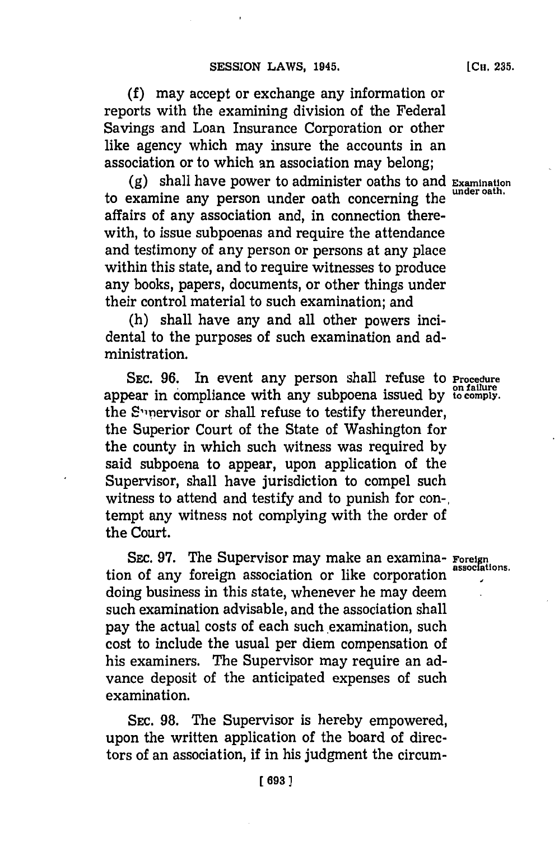**(f)** may accept or exchange any information or reports with the examining division of the Federal Savings and Loan Insurance Corporation or other like agency which may insure the accounts in an association or to which an association may belong;

**(g)** shall have power to administer oaths to and **Examination** to examine any person under oath concerning the **under oath.** affairs of any association and, in connection therewith, to issue subpoenas and require the attendance and testimony of any person or persons at any place within this state, and to require witnesses to produce any books, papers, documents, or other things under their control material to such examination; and

(h) shall have any and all other powers incidental to the purposes of such examination and administration.

SEC. 96. In event any person shall refuse to **Procedure on failure** appear in compliance with any subpoena issued **by to comply.** the S'1nervisor or shall refuse to testify thereunder, the Superior Court of the State of Washington for the county in which such witness was required **by** said subpoena to appear, upon application of the Supervisor, shall have jurisdiction to compel such witness to attend and testify and to punish for con-, tempt any witness not complying with the order of the Court.

SEC. **97.** The Supervisor may make an examina- **Foreign** tion of any foreign association or like corporation doing business in this state, whenever he may deem such examination advisable, and the association shall pay the actual costs of each such examination, such cost to include the usual per diem compensation of his examiners. The Supervisor may require an advance deposit of the anticipated expenses of such examination.

**SEC. 98.** The Supervisor is hereby empowered, upon the written application of the board of directors of an association, if in his judgment the circum-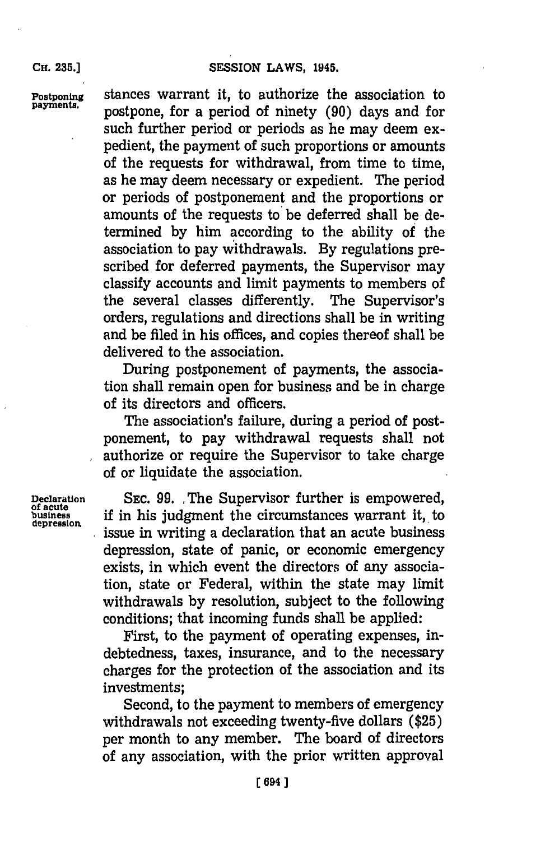**CH. 235.]**

**Postponing** stances warrant it, to authorize the association to **payments,** postpone, for a period of ninety **(90)** days and for such further period or periods as he may deem expedient, the payment of such proportions or amounts of the requests for withdrawal, from time to time, as he may deem necessary or expedient. The period or periods of postponement and the proportions or amounts of the requests to be deferred shall be determined **by** him according to the ability of the association to pay withdrawals. **By** regulations prescribed for deferred payments, the Supervisor may classify accounts and limit payments to members of the several classes differently. The Supervisor's orders, regulations and directions shall be in writing and be filed in his offices, and copies thereof shall be delivered to the association.

> During postponement of payments, the association shall remain open for business and be in charge of its directors and officers.

> The association's failure, during a period of postponement, to pay withdrawal requests shall not authorize or require the Supervisor to take charge of or liquidate the association.

Declaration SEC. 99. The Supervisor further is empowered, busiess if in his judgment the circumstances warrant it, to **depression.** issue in writing a declaration that an acute business depression, state of panic, or economic emergency exists, in which event the directors of any association, state or Federal, within the state may limit withdrawals **by** resolution, subject to the following conditions; that incoming funds shall be applied:

> First, to the payment of operating expenses, indebtedness, taxes, insurance, and to the necessary charges for the protection of the association and its investments;

> Second, to the payment to members of emergency withdrawals not exceeding twenty-five dollars **(\$25)** per month to any member. The board of directors of any association, with the prior written approval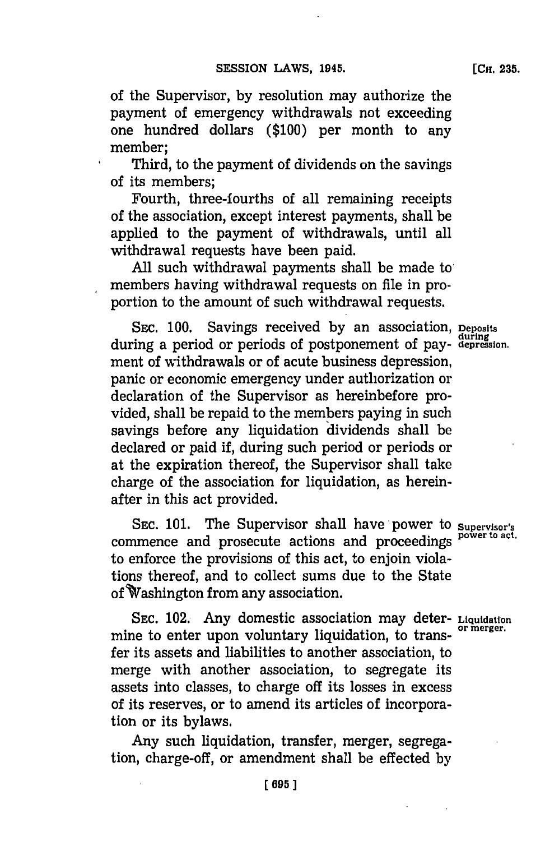of the Supervisor, **by** resolution may authorize the payment of emergency withdrawals not exceeding one hundred dollars **(\$100)** per month to any member;

Third, to the payment of dividends on the savings of its members;

Fourth, three-fourths of all remaining receipts of the association, except interest payments, shall be applied to the payment of withdrawals, until all withdrawal requests have been paid.

All such withdrawal payments shall be made to members having withdrawal requests on file in proportion to the amount of such withdrawal requests.

**SEC. 100.** Savings received **by** an association, **Deposits** during a period or periods of postponement of pay- **depression.** ment of withdrawals or of acute business depression, panic or economic emergency under authorization or declaration of the Supervisor as hereinbefore provided, shall be repaid to the members paying in such savings before any liquidation dividends shall be declared or paid if, during such period or periods or at the expiration thereof, the Supervisor shall take charge of the association for liquidation, as hereinafter in this act provided.

**SEC. 101.** The Supervisor shall have power to **Supervisor's** commence and prosecute actions and proceedings **power to at.** to enforce the provisions of this act, to enjoin violations thereof, and to collect sums due to the State of Vashington from any association.

**SEC.** 102. Any domestic association may deter- **Liquidation** mine to enter upon voluntary liquidation, to transfer its assets and liabilities to another association, to merge with another association, to segregate its assets into classes, to charge off its losses in excess of its reserves, or to amend its articles of incorporation or its bylaws.

Any such liquidation, transfer, merger, segregation, charge-off, or amendment shall be effected **by**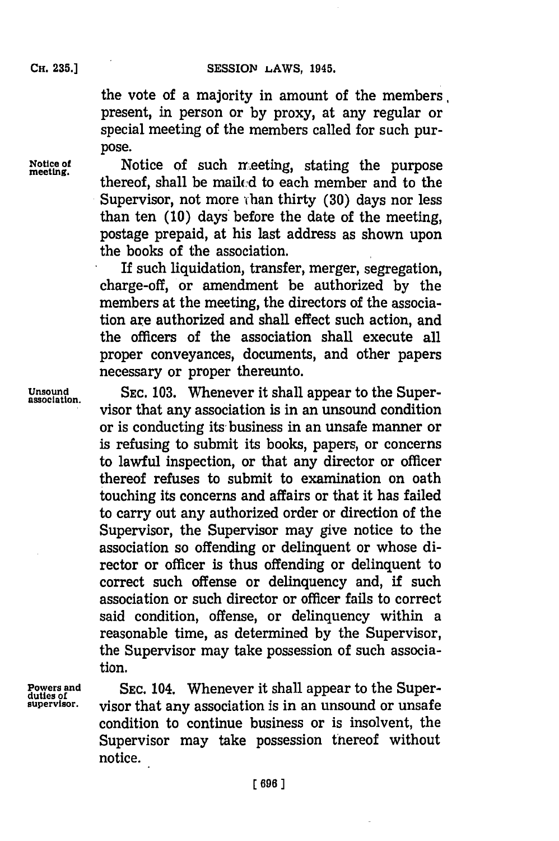the vote of a majority in amount of the members present, in person or **by** proxy, at any regular or special meeting of the members called for such purpose.

Notice of such meeting, stating the purpose meeting. thereof, shall be mailcd to each member and to the Supervisor, not more than thirty (30) days nor less than ten **(10)** days before the date of the meeting, postage prepaid, at his last address as shown upon the books of the association.

> If such liquidation, transfer, merger, segregation, charge-off, or amendment be authorized **by** the members at the meeting, the directors of the association are authorized and shall effect such action, and the officers of the association shall execute all proper conveyances, documents, and other papers necessary or proper thereunto.

**Unsound SEC. 103.** Whenever it shall appear to the Super- **association.** visor that any association is in an unsound condition or is conducting its business in an unsafe manner or is refusing to submit its books, papers, or concerns to lawful inspection, or that any director or officer thereof refuses to submit to examination on oath touching its concerns and affairs or that it has failed to carry out any authorized order or direction of the Supervisor, the Supervisor may give notice to the association so offending or delinquent or whose director or officer is thus offending or delinquent to correct such offense or delinquency and, if such association or such director or officer fails to correct said condition, offense, or delinquency within a reasonable time, as determined **by** the Supervisor, the Supervisor may take possession of such association.

**Powers and** SEC. 104. Whenever it shall appear to the Super-<br> **duties of**<br> **supervisor.** visor that any association is in an unsound or unsafe visor that any association is in an unsound or unsafe condition to continue business or is insolvent, the Supervisor may take possession thereof without notice.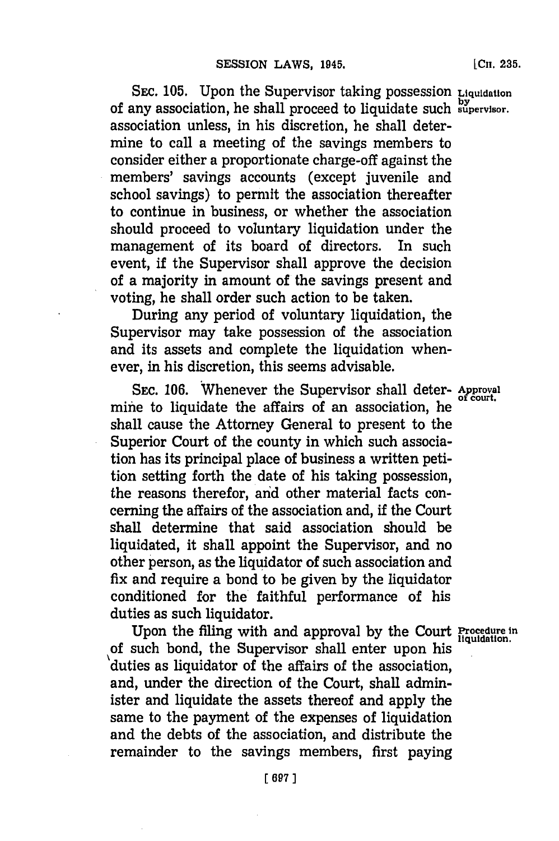SEC. **105.** Upon the Supervisor taking possession **Liquidation** of any association, he shall proceed to liquidate such **suypervisor.** association unless, in his discretion, he shall determine to call a meeting of the savings members to consider either a proportionate charge-off against the members' savings accounts (except juvenile and school savings) to permit the association thereafter to continue in business, or whether the association should proceed to voluntary liquidation under the management of its board of directors. In such event, if the Supervisor shall approve the decision of a majority in amount of the savings present and voting, he shall order such action to be taken.

During any period of voluntary liquidation, the Supervisor may take possession of the association and its assets and complete the liquidation whenever, in his discretion, this seems advisable.

SEC. 106. Whenever the Supervisor shall deter- Approval mine to liquidate the affairs of an association, he **0cu** shall cause the Attorney General to present to the Superior Court of the county in which such association has its principal place of business a written petition setting forth the date of his taking possession, the reasons therefor, and other material facts concerning the affairs of the association and, if the Court shall determine that said association should be liquidated, it shall appoint the Supervisor, and no other person, as the liquidator of such association and fix and require a bond to be given **by** the liquidator conditioned for the faithful performance of his duties as such liquidator.

Upon the filing with and approval **by** the Court **Procedure in** of such bond, the Supervisor shall enter upon his duties as liquidator of the affairs of the association, and, under the direction of the Court, shall administer and liquidate the assets thereof and apply the same to the payment of the expenses of liquidation and the debts of the association, and distribute the remainder to the savings members, first paying

[Cii. **235.**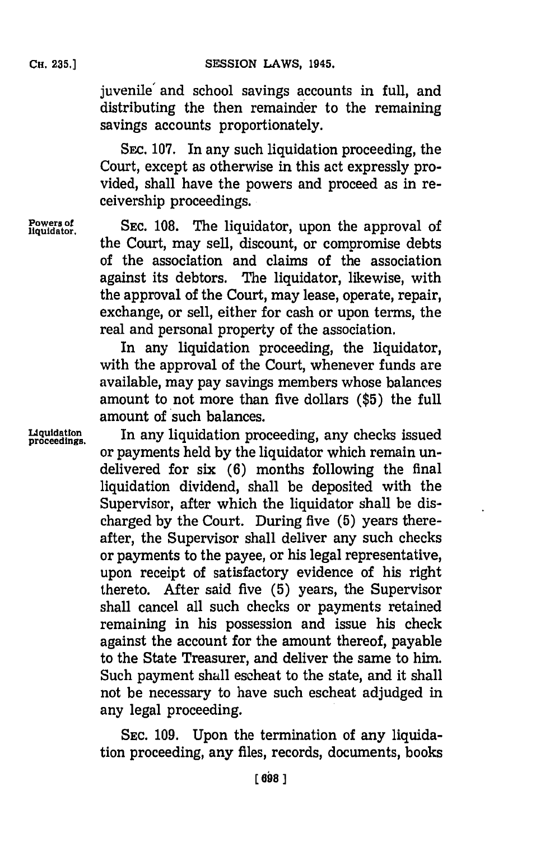juvenile' and school savings accounts in full, and distributing the then remainder to the remaining savings accounts proportionately.

SEC. **107.** In any such liquidation proceeding, the Court, except as otherwise in this act expressly provided, shall have the powers and proceed as in receivership proceedings.

**Powers of** SEC. 108. The liquidator, upon the approval of the Court, may sell, discount, or compromise debts of the association and claims of the association against its debtors. The liquidator, likewise, with the approval of the Court, may lease, operate, repair, exchange, or sell, either for cash or upon terms, the real and personal property of the association.

> In any liquidation proceeding, the liquidator, with the approval of the Court, whenever funds are available, may pay savings members whose balances amount to not more than five dollars **(\$5)** the full amount of such balances.

Liquidation **In any liquidation proceeding, any checks issued** or payments held **by** the liquidator which remain undelivered for six **(6)** months following the final liquidation dividend, shall be deposited with the Supervisor, after which the liquidator shall be discharged **by** the Court. During five **(5)** years thereafter, the Supervisor shall deliver any such checks or payments to the payee, or his legal representative, upon receipt of satisfactory evidence of his right thereto. After said five **(5)** years, the Supervisor shall cancel all such checks or payments retained remaining in his possession and issue his check against the account for the amount thereof, payable to the State Treasurer, and deliver the same to him. Such payment shall escheat to the state, and it shall not be necessary to have such escheat adjudged in any legal proceeding.

> **SEC. 109.** Upon the termination of any liquidation proceeding, any files, records, documents, books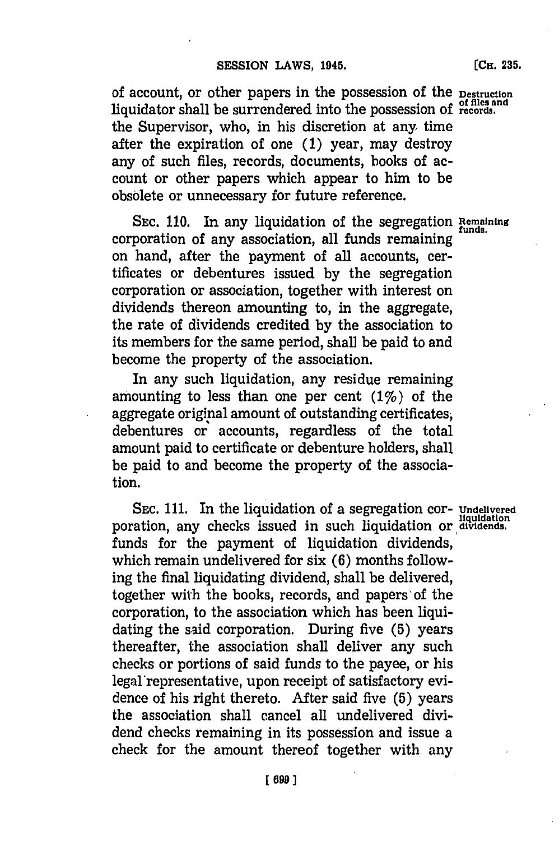of account, or other papers in the possession of the **Destruction of files and** liquidator shall be surrendered into the possession of **records.** the Supervisor, who, in his discretion at any time after the expiration of one **(1)** year, may destroy any of such files, records, documents, books of account or other papers which appear to him to be obsolete or unnecessary for future reference.

**SEC. 110.** In any liquidation of the segregation **Remaining** corporation of any association, all funds remaining **funds.** on hand, after the payment of all accounts, certificates or debentures issued **by** the segregation corporation or association, together with interest on dividends thereon amounting to, in the aggregate, the rate of dividends credited **by** the association to its members for the same period, shall be paid to and become the property of the association.

In any such liquidation, any residue remaining amounting to less than one per cent (1%) of the aggregate original amount of outstanding certificates, debentures or accounts, regardless of the total amount paid to certificate or debenture holders, shall be paid to and become the property of the association.

**SEC. 111.** In the liquidation of a segregation cor- **Undelivered** poration, any checks issued in such liquidation or dividends. funds for the payment of liquidation dividends, which remain undelivered for six **(6)** months following the final liquidating dividend, shall be delivered, together with the books, records, and papers of the corporation, to the association which has been liquidating the said corporation. During five **(5)** years thereafter, the association shall deliver any such checks or portions of said funds to the payee, or his legal representative, upon receipt of satisfactory evidence of his right thereto. After said five **(5)** years the association shall cancel all undelivered dividend checks remaining in its possession and issue a check for the amount thereof together with any

**(CH. 235.**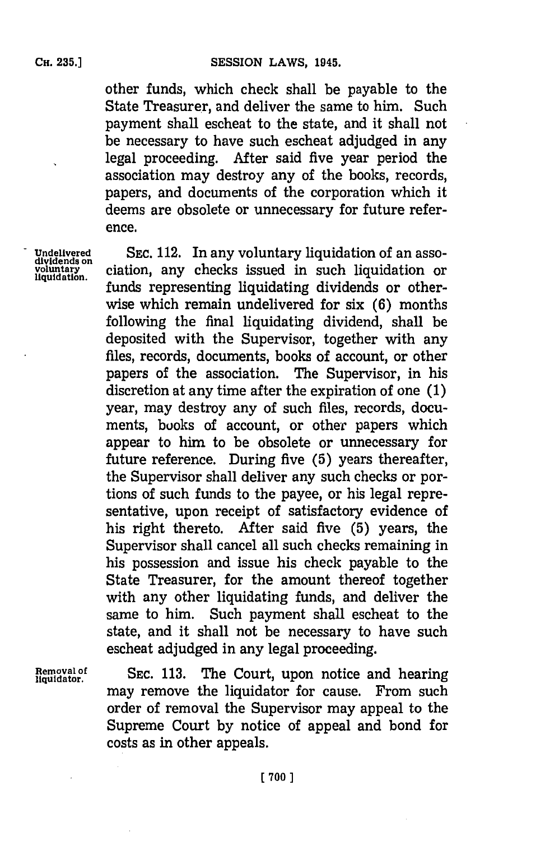other funds, which check shall be payable to the State Treasurer, and deliver the same to him. Such payment shall escheat to the state, and it shall not be necessary to have such escheat adjudged in any legal proceeding. After said five year period the association may destroy any of the books, records, papers, and documents of the corporation which it deems are obsolete or unnecessary for future reference.

Undelivered SEC. 112. In any voluntary liquidation of an asso-<br>
uvidends on<br>
uquidation ciation, any checks issued in such liquidation or ciation, any checks issued in such liquidation or funds representing liquidating dividends or otherwise which remain undelivered for six **(6)** months following the final liquidating dividend, shall be deposited with the Supervisor, together with any files, records, documents, books of account, or other papers of the association. The Supervisor, in his discretion at any time after the expiration of one **(1)** year, may destroy any of such files, records, documents, buoks of account, or other papers which appear to him to be obsolete or unnecessary for future reference. During five **(5)** years thereafter, the Supervisor shall deliver any such checks or portions of such funds to the payee, or his legal representative, upon receipt of satisfactory evidence of his right thereto. After said five **(5)** years, the Supervisor shall cancel all such checks remaining in his possession and issue his check payable to the State Treasurer, for the amount thereof together with any other liquidating funds, and deliver the same to him. Such payment shall escheat to the state, and it shall not be necessary to have such escheat adjudged in any legal proceeding.

Removal of **SEC. 113.** The Court, upon notice and hearing may remove the liquidator for cause. From such order of removal the Supervisor may appeal to the Supreme Court **by** notice of appeal and bond for costs as in other appeals.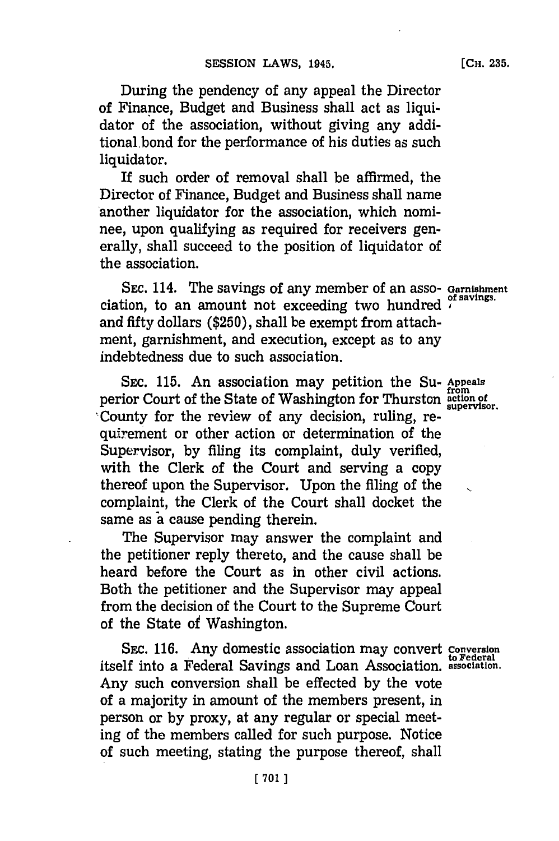During the pendency of any appeal the Director of Finance, Budget and Business shall act as liquidator **of** the association, without giving any additional bond for the performance of his duties as such liquidator.

If such order of removal shall be affirmed, the Director of Finance, Budget and Business shall name another liquidator for the association, which nominee, upon qualifying as required for receivers generally, shall succeed to the position of liquidator of the association.

**SEC.** 114. The savings of any member of an asso- **Garnishment of savings.** ciation, to an amount not exceeding two hundred and fifty dollars **(\$250),** shall be exempt from attachment, garnishment, and execution, except as to any indebtedness due to such association.

SEC. 115. An association may petition the Su- Appeals perior Court of the State of Washington for Thurston **action of supervisor.** 'County for the review of any decision, ruling, requirement or other action or determination of the Supervisor, **by** filing its complaint, duly verified, with the Clerk of the Court and serving a copy thereof upon the Supervisor. Upon the filing of the complaint, the Clerk of the Court shall docket the same as a cause pending therein.

The Supervisor may answer the complaint and the petitioner reply thereto, and the cause shall be heard before the Court as in other civil actions. Both the petitioner and the Supervisor may appeal from the decision of the Court to the Supreme Court of the State of Washington.

**SEC. 116.** Any domestic association may convert **Conversion to Federal** itself into a Federal Savings and Loan Association. **association.** Any such conversion shall be effected **by** the vote of a majority in amount of the members present, in person or **by** proxy, at any regular or special meeting of the members called for such purpose. Notice of such meeting, stating the purpose thereof, shall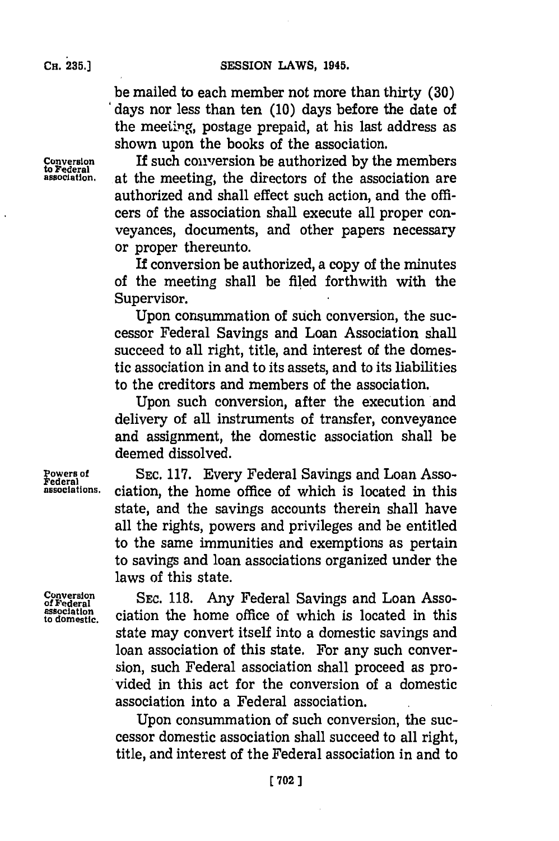be mailed to each member not more than thirty **(30)** days nor less than ten **(10)** days before the date of the meeting, postage prepaid, at his last address as shown upon the books of the association.

Conversion **If such conversion be authorized by the members**<br>association, at the meeting, the directors of the association are **association,** at the meeting, the directors of the association are authorized and shall effect such action, and the *offi*cers of the association shall execute all proper conveyances, documents, and other papers necessary or proper thereunto.

> If conversion be authorized, a copy of the minutes of the meeting shall be filed forthwith with the Supervisor.

> Upon consummation of such conversion, the successor Federal Savings and Loan Association shall succeed to all right, title, and interest of the domestic association in and to its assets, and to its liabilities to the creditors and members of the association.

> Upon such conversion, after the execution and delivery of all instruments of transfer, conveyance and assignment, the domestic association shall be deemed dissolved.

Powers of **888 SEC. 117. Every Federal Savings and Loan Asso-**<br>Federal<br>associations. ciation the home office of which is located in this **associations.** ciation, the home office of which is located in this state, and the savings accounts therein shall have all the rights, powers and privileges and be entitled to the same immunities and exemptions as pertain to savings and loan associations organized under the laws of this state.

**Conversion SC** 1.AyFdrlSvnsadLa so **of Federal** SC 1.AyFdrlSvnsadLa so of rederal complete the contract of the contract of the contract of the contract of the contract of the home office of which is located in this state may convert itself into a domestic savings and loan association of this state. For any such conversion, such Federal association shall proceed as provided in this act for the conversion of a domestic association into a Federal association.

> Upon consummation of such conversion, the successor domestic association shall succeed to all right, title, and interest of the Federal association in and to